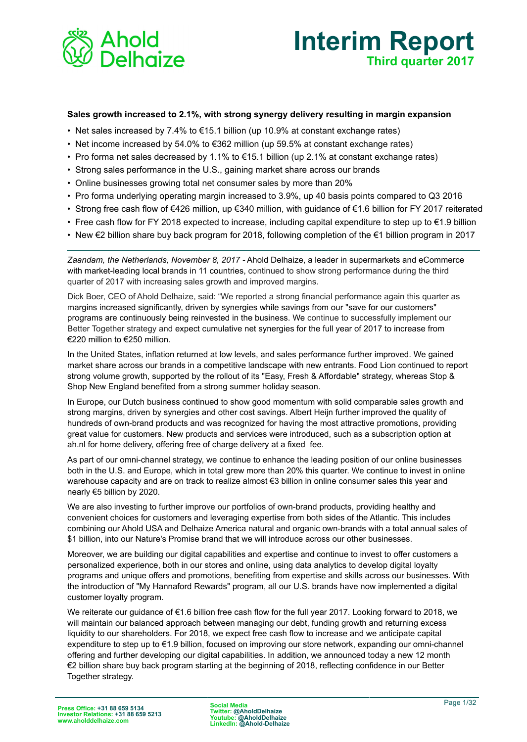



#### **Sales growth increased to 2.1%, with strong synergy delivery resulting in margin expansion**

- Net sales increased by 7.4% to  $€15.1$  billion (up 10.9% at constant exchange rates)
- Net income increased by 54.0% to  $\epsilon$ 362 million (up 59.5% at constant exchange rates)
- Pro forma net sales decreased by 1.1% to €15.1 billion (up 2.1% at constant exchange rates)
- Strong sales performance in the U.S., gaining market share across our brands
- Online businesses growing total net consumer sales by more than 20%
- Pro forma underlying operating margin increased to 3.9%, up 40 basis points compared to Q3 2016
- Strong free cash flow of €426 million, up €340 million, with guidance of €1.6 billion for FY 2017 reiterated
- Free cash flow for FY 2018 expected to increase, including capital expenditure to step up to €1.9 billion
- New €2 billion share buy back program for 2018, following completion of the €1 billion program in 2017

*Zaandam, the Netherlands, November 8, 2017 -* Ahold Delhaize, a leader in supermarkets and eCommerce with market-leading local brands in 11 countries, continued to show strong performance during the third quarter of 2017 with increasing sales growth and improved margins.

Dick Boer, CEO of Ahold Delhaize, said: "We reported a strong financial performance again this quarter as margins increased significantly, driven by synergies while savings from our "save for our customers" programs are continuously being reinvested in the business. We continue to successfully implement our Better Together strategy and expect cumulative net synergies for the full year of 2017 to increase from €220 million to €250 million.

In the United States, inflation returned at low levels, and sales performance further improved. We gained market share across our brands in a competitive landscape with new entrants. Food Lion continued to report strong volume growth, supported by the rollout of its "Easy, Fresh & Affordable" strategy, whereas Stop & Shop New England benefited from a strong summer holiday season.

In Europe, our Dutch business continued to show good momentum with solid comparable sales growth and strong margins, driven by synergies and other cost savings. Albert Heijn further improved the quality of hundreds of own-brand products and was recognized for having the most attractive promotions, providing great value for customers. New products and services were introduced, such as a subscription option at ah.nl for home delivery, offering free of charge delivery at a fixed fee.

As part of our omni-channel strategy, we continue to enhance the leading position of our online businesses both in the U.S. and Europe, which in total grew more than 20% this quarter. We continue to invest in online warehouse capacity and are on track to realize almost €3 billion in online consumer sales this year and nearly €5 billion by 2020.

We are also investing to further improve our portfolios of own-brand products, providing healthy and convenient choices for customers and leveraging expertise from both sides of the Atlantic. This includes combining our Ahold USA and Delhaize America natural and organic own-brands with a total annual sales of \$1 billion, into our Nature's Promise brand that we will introduce across our other businesses.

Moreover, we are building our digital capabilities and expertise and continue to invest to offer customers a personalized experience, both in our stores and online, using data analytics to develop digital loyalty programs and unique offers and promotions, benefiting from expertise and skills across our businesses. With the introduction of "My Hannaford Rewards" program, all our U.S. brands have now implemented a digital customer loyalty program.

We reiterate our guidance of €1.6 billion free cash flow for the full year 2017. Looking forward to 2018, we will maintain our balanced approach between managing our debt, funding growth and returning excess liquidity to our shareholders. For 2018, we expect free cash flow to increase and we anticipate capital expenditure to step up to €1.9 billion, focused on improving our store network, expanding our omni-channel offering and further developing our digital capabilities. In addition, we announced today a new 12 month €2 billion share buy back program starting at the beginning of 2018, reflecting confidence in our Better Together strategy.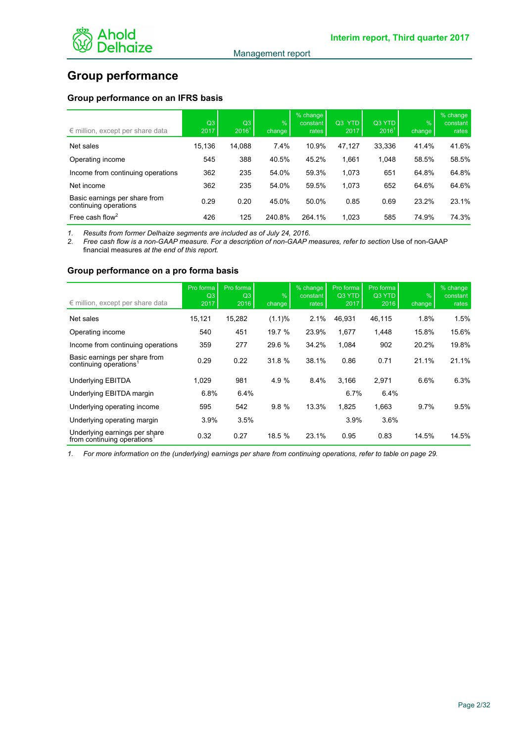

# **Group performance**

# **Group performance on an IFRS basis**

| $\epsilon$ million, except per share data              | Q <sub>3</sub><br>2017 | Q3<br>2016 <sup>1</sup> | $\frac{9}{6}$<br>change | % change<br>constant<br>rates | Q3 YTD<br>2017 | Q3 YTD<br>$2016^1$ | $\frac{9}{6}$<br>change | % change<br>constant<br>rates |
|--------------------------------------------------------|------------------------|-------------------------|-------------------------|-------------------------------|----------------|--------------------|-------------------------|-------------------------------|
| Net sales                                              | 15.136                 | 14.088                  | 7.4%                    | 10.9%                         | 47,127         | 33,336             | 41.4%                   | 41.6%                         |
| Operating income                                       | 545                    | 388                     | 40.5%                   | 45.2%                         | 1.661          | 1,048              | 58.5%                   | 58.5%                         |
| Income from continuing operations                      | 362                    | 235                     | 54.0%                   | 59.3%                         | 1,073          | 651                | 64.8%                   | 64.8%                         |
| Net income                                             | 362                    | 235                     | 54.0%                   | 59.5%                         | 1,073          | 652                | 64.6%                   | 64.6%                         |
| Basic earnings per share from<br>continuing operations | 0.29                   | 0.20                    | 45.0%                   | 50.0%                         | 0.85           | 0.69               | 23.2%                   | 23.1%                         |
| Free cash flow <sup>2</sup>                            | 426                    | 125                     | 240.8%                  | 264.1%                        | 1,023          | 585                | 74.9%                   | 74.3%                         |

*1. Results from former Delhaize segments are included as of July 24, 2016. 2. Free cash flow is a non-GAAP measure. For a description of non-GAAP measures, refer to section* Use of non-GAAP financial measures *at the end of this report.*

#### **Group performance on a pro forma basis**

| $\epsilon$ million, except per share data                    | Pro forma<br>Q <sub>3</sub><br>2017 | Pro forma<br>Q <sub>3</sub><br>2016 | $\frac{9}{6}$<br>change | % change<br>constant<br>rates | Pro forma<br>Q3 YTD<br>2017 | Pro forma<br>Q3 YTD<br>2016 | $\frac{1}{2}$<br>change | % change<br>constant<br>rates |
|--------------------------------------------------------------|-------------------------------------|-------------------------------------|-------------------------|-------------------------------|-----------------------------|-----------------------------|-------------------------|-------------------------------|
| Net sales                                                    | 15,121                              | 15,282                              | (1.1)%                  | 2.1%                          | 46,931                      | 46,115                      | 1.8%                    | 1.5%                          |
| Operating income                                             | 540                                 | 451                                 | 19.7 %                  | 23.9%                         | 1,677                       | 1,448                       | 15.8%                   | 15.6%                         |
| Income from continuing operations                            | 359                                 | 277                                 | 29.6 %                  | 34.2%                         | 1,084                       | 902                         | 20.2%                   | 19.8%                         |
| Basic earnings per share from<br>continuing operations       | 0.29                                | 0.22                                | 31.8 %                  | 38.1%                         | 0.86                        | 0.71                        | 21.1%                   | 21.1%                         |
| <b>Underlying EBITDA</b>                                     | 1,029                               | 981                                 | 4.9 %                   | 8.4%                          | 3.166                       | 2,971                       | 6.6%                    | 6.3%                          |
| Underlying EBITDA margin                                     | 6.8%                                | 6.4%                                |                         |                               | 6.7%                        | 6.4%                        |                         |                               |
| Underlying operating income                                  | 595                                 | 542                                 | 9.8%                    | 13.3%                         | 1.825                       | 1,663                       | 9.7%                    | 9.5%                          |
| Underlying operating margin                                  | 3.9%                                | 3.5%                                |                         |                               | 3.9%                        | 3.6%                        |                         |                               |
| Underlying earnings per share<br>from continuing operations' | 0.32                                | 0.27                                | 18.5 %                  | 23.1%                         | 0.95                        | 0.83                        | 14.5%                   | 14.5%                         |

*1. For more information on the (underlying) earnings per share from continuing operations, refer to table on page 29.*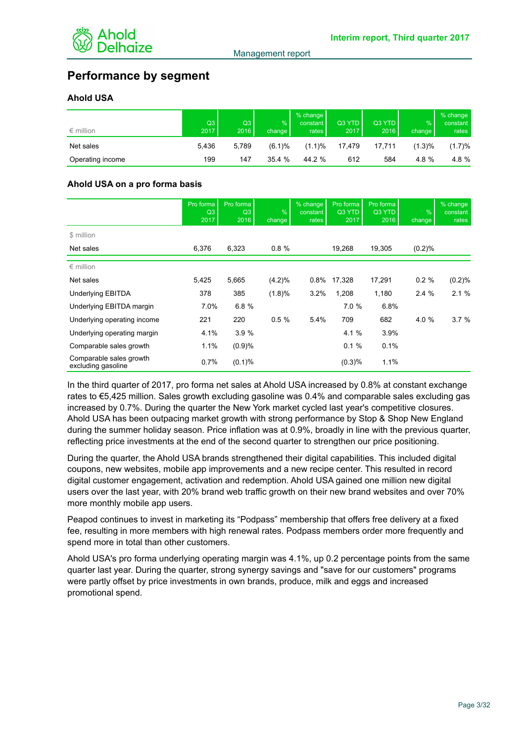

# **Performance by segment**

# **Ahold USA**

| $\epsilon$ million | Q3<br>2017 | Q3<br>2016 | %<br>change | % change<br>constant<br>rates | Q3 YTD<br>2017' | Q3 YTD<br>2016 | $\frac{9}{6}$<br>change I | % change<br>constant<br>rates |
|--------------------|------------|------------|-------------|-------------------------------|-----------------|----------------|---------------------------|-------------------------------|
| Net sales          | 5.436      | 5.789      | $(6.1)\%$   | $(1.1)\%$                     | 17.479          | 17.711         | (1.3)%                    | (1.7)%                        |
| Operating income   | 199        | 147        | 35.4%       | 44.2 %                        | 612             | 584            | 4.8 $%$                   | 4.8 %                         |

# **Ahold USA on a pro forma basis**

|                                               | Pro forma<br>Q <sub>3</sub><br>2017 | Pro forma<br>Q3<br>2016 | $\frac{9}{6}$<br>change | $%$ change<br>constant<br>rates | Pro forma<br>Q3 YTD<br>2017 | Pro forma<br>Q3 YTD<br>2016 | $\frac{9}{6}$<br>change | % change<br>constant<br>rates |
|-----------------------------------------------|-------------------------------------|-------------------------|-------------------------|---------------------------------|-----------------------------|-----------------------------|-------------------------|-------------------------------|
| \$ million                                    |                                     |                         |                         |                                 |                             |                             |                         |                               |
| Net sales                                     | 6,376                               | 6,323                   | 0.8%                    |                                 | 19,268                      | 19,305                      | (0.2)%                  |                               |
| $\epsilon$ million                            |                                     |                         |                         |                                 |                             |                             |                         |                               |
| Net sales                                     | 5,425                               | 5,665                   | $(4.2)\%$               | 0.8%                            | 17,328                      | 17,291                      | 0.2%                    | (0.2)%                        |
| Underlying EBITDA                             | 378                                 | 385                     | (1.8)%                  | 3.2%                            | 1,208                       | 1,180                       | 2.4%                    | 2.1%                          |
| Underlying EBITDA margin                      | 7.0%                                | 6.8%                    |                         |                                 | 7.0%                        | 6.8%                        |                         |                               |
| Underlying operating income                   | 221                                 | 220                     | 0.5%                    | 5.4%                            | 709                         | 682                         | 4.0 %                   | 3.7%                          |
| Underlying operating margin                   | 4.1%                                | 3.9%                    |                         |                                 | 4.1 %                       | 3.9%                        |                         |                               |
| Comparable sales growth                       | 1.1%                                | (0.9)%                  |                         |                                 | 0.1%                        | 0.1%                        |                         |                               |
| Comparable sales growth<br>excluding gasoline | 0.7%                                | (0.1)%                  |                         |                                 | (0.3)%                      | 1.1%                        |                         |                               |

In the third quarter of 2017, pro forma net sales at Ahold USA increased by 0.8% at constant exchange rates to €5,425 million. Sales growth excluding gasoline was 0.4% and comparable sales excluding gas increased by 0.7%. During the quarter the New York market cycled last year's competitive closures. Ahold USA has been outpacing market growth with strong performance by Stop & Shop New England during the summer holiday season. Price inflation was at 0.9%, broadly in line with the previous quarter, reflecting price investments at the end of the second quarter to strengthen our price positioning.

During the quarter, the Ahold USA brands strengthened their digital capabilities. This included digital coupons, new websites, mobile app improvements and a new recipe center. This resulted in record digital customer engagement, activation and redemption. Ahold USA gained one million new digital users over the last year, with 20% brand web traffic growth on their new brand websites and over 70% more monthly mobile app users.

Peapod continues to invest in marketing its "Podpass" membership that offers free delivery at a fixed fee, resulting in more members with high renewal rates. Podpass members order more frequently and spend more in total than other customers.

Ahold USA's pro forma underlying operating margin was 4.1%, up 0.2 percentage points from the same quarter last year. During the quarter, strong synergy savings and "save for our customers" programs were partly offset by price investments in own brands, produce, milk and eggs and increased promotional spend.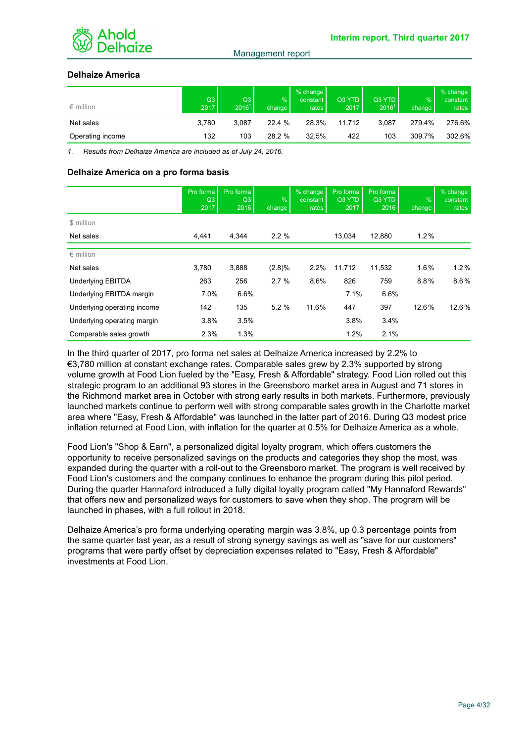

# **Delhaize America**

| $\epsilon$ million | Q3<br>2017 | Q3<br>$2016^1$ | %<br>change | % change<br>constant  <br>rates | Q3 YTD<br>2017 | Q3 YTD<br>2016 <sup>1</sup> | $\%$<br>change | $%$ change<br>constant<br>rates |
|--------------------|------------|----------------|-------------|---------------------------------|----------------|-----------------------------|----------------|---------------------------------|
| Net sales          | 3.780      | 3.087          | 22.4 %      | 28.3%                           | 11.712         | 3.087                       | 279.4%         | 276.6%                          |
| Operating income   | 132        | 103            | 28.2 %      | 32.5%                           | 422            | 103                         | 309.7%         | 302.6%                          |

*1. Results from Delhaize America are included as of July 24, 2016.*

#### **Delhaize America on a pro forma basis**

|                             | Pro forma<br>Q <sub>3</sub><br>2017 | Pro forma<br>Q3<br>2016 | %<br>change | % change<br>constant<br>rates | Pro forma<br>Q3 YTD<br>2017 | Pro forma<br>Q3 YTD<br>2016 | $\frac{9}{6}$<br>change | % change<br>constant<br>rates |
|-----------------------------|-------------------------------------|-------------------------|-------------|-------------------------------|-----------------------------|-----------------------------|-------------------------|-------------------------------|
| \$ million                  |                                     |                         |             |                               |                             |                             |                         |                               |
| Net sales                   | 4.441                               | 4.344                   | 2.2%        |                               | 13.034                      | 12.880                      | 1.2%                    |                               |
| $\epsilon$ million          |                                     |                         |             |                               |                             |                             |                         |                               |
| Net sales                   | 3,780                               | 3,888                   | $(2.8)\%$   | 2.2%                          | 11,712                      | 11,532                      | $1.6\%$                 | 1.2%                          |
| <b>Underlying EBITDA</b>    | 263                                 | 256                     | 2.7%        | 8.6%                          | 826                         | 759                         | 8.8%                    | $8.6\%$                       |
| Underlying EBITDA margin    | 7.0%                                | 6.6%                    |             |                               | 7.1%                        | 6.6%                        |                         |                               |
| Underlying operating income | 142                                 | 135                     | 5.2%        | 11.6%                         | 447                         | 397                         | 12.6%                   | 12.6%                         |
| Underlying operating margin | 3.8%                                | 3.5%                    |             |                               | 3.8%                        | 3.4%                        |                         |                               |
| Comparable sales growth     | 2.3%                                | 1.3%                    |             |                               | 1.2%                        | 2.1%                        |                         |                               |

In the third quarter of 2017, pro forma net sales at Delhaize America increased by 2.2% to €3,780 million at constant exchange rates. Comparable sales grew by 2.3% supported by strong volume growth at Food Lion fueled by the "Easy, Fresh & Affordable" strategy. Food Lion rolled out this strategic program to an additional 93 stores in the Greensboro market area in August and 71 stores in the Richmond market area in October with strong early results in both markets. Furthermore, previously launched markets continue to perform well with strong comparable sales growth in the Charlotte market area where "Easy, Fresh & Affordable" was launched in the latter part of 2016. During Q3 modest price inflation returned at Food Lion, with inflation for the quarter at 0.5% for Delhaize America as a whole.

Food Lion's "Shop & Earn", a personalized digital loyalty program, which offers customers the opportunity to receive personalized savings on the products and categories they shop the most, was expanded during the quarter with a roll-out to the Greensboro market. The program is well received by Food Lion's customers and the company continues to enhance the program during this pilot period. During the quarter Hannaford introduced a fully digital loyalty program called "My Hannaford Rewards" that offers new and personalized ways for customers to save when they shop. The program will be launched in phases, with a full rollout in 2018.

Delhaize America's pro forma underlying operating margin was 3.8%, up 0.3 percentage points from the same quarter last year, as a result of strong synergy savings as well as "save for our customers" programs that were partly offset by depreciation expenses related to "Easy, Fresh & Affordable" investments at Food Lion.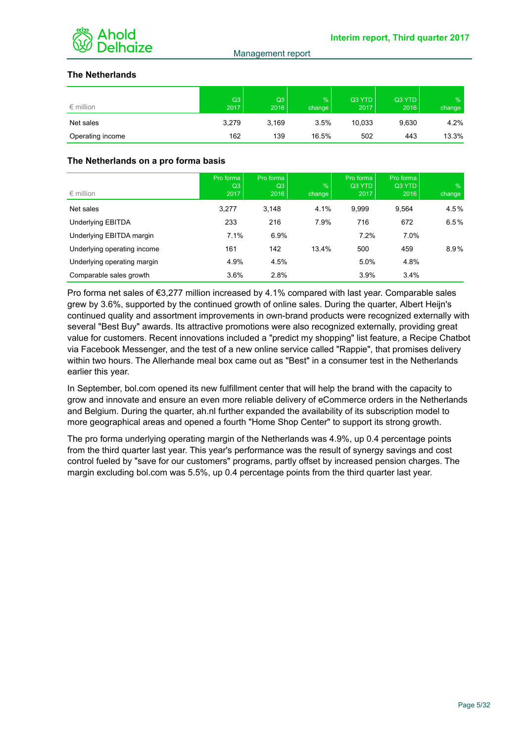

# **The Netherlands**

| $\epsilon$ million | Q3<br>2017 | Q3<br>2016 | $\frac{9}{6}$<br>change | Q3 YTD<br>2017 | Q3 YTD<br>2016 | $\frac{9}{6}$<br>change |
|--------------------|------------|------------|-------------------------|----------------|----------------|-------------------------|
| Net sales          | 3,279      | 3,169      | 3.5%                    | 10.033         | 9,630          | 4.2%                    |
| Operating income   | 162        | 139        | 16.5%                   | 502            | 443            | 13.3%                   |

# **The Netherlands on a pro forma basis**

| $\epsilon$ million          | Pro forma<br>Q3<br>2017 | Pro forma<br>Q3<br>2016 | $\frac{9}{6}$<br>change | Pro forma<br>Q3 YTD<br>2017 | Pro forma<br>Q3 YTD<br>2016 | $\frac{9}{6}$<br>change |
|-----------------------------|-------------------------|-------------------------|-------------------------|-----------------------------|-----------------------------|-------------------------|
| Net sales                   | 3,277                   | 3,148                   | 4.1%                    | 9,999                       | 9,564                       | 4.5%                    |
| Underlying EBITDA           | 233                     | 216                     | 7.9%                    | 716                         | 672                         | 6.5%                    |
| Underlying EBITDA margin    | 7.1%                    | 6.9%                    |                         | 7.2%                        | 7.0%                        |                         |
| Underlying operating income | 161                     | 142                     | 13.4%                   | 500                         | 459                         | 8.9%                    |
| Underlying operating margin | 4.9%                    | 4.5%                    |                         | 5.0%                        | 4.8%                        |                         |
| Comparable sales growth     | 3.6%                    | 2.8%                    |                         | 3.9%                        | 3.4%                        |                         |

Pro forma net sales of €3,277 million increased by 4.1% compared with last year. Comparable sales grew by 3.6%, supported by the continued growth of online sales. During the quarter, Albert Heijn's continued quality and assortment improvements in own-brand products were recognized externally with several "Best Buy" awards. Its attractive promotions were also recognized externally, providing great value for customers. Recent innovations included a "predict my shopping" list feature, a Recipe Chatbot via Facebook Messenger, and the test of a new online service called "Rappie", that promises delivery within two hours. The Allerhande meal box came out as "Best" in a consumer test in the Netherlands earlier this year.

In September, bol.com opened its new fulfillment center that will help the brand with the capacity to grow and innovate and ensure an even more reliable delivery of eCommerce orders in the Netherlands and Belgium. During the quarter, ah.nl further expanded the availability of its subscription model to more geographical areas and opened a fourth "Home Shop Center" to support its strong growth.

The pro forma underlying operating margin of the Netherlands was 4.9%, up 0.4 percentage points from the third quarter last year. This year's performance was the result of synergy savings and cost control fueled by "save for our customers" programs, partly offset by increased pension charges. The margin excluding bol.com was 5.5%, up 0.4 percentage points from the third quarter last year.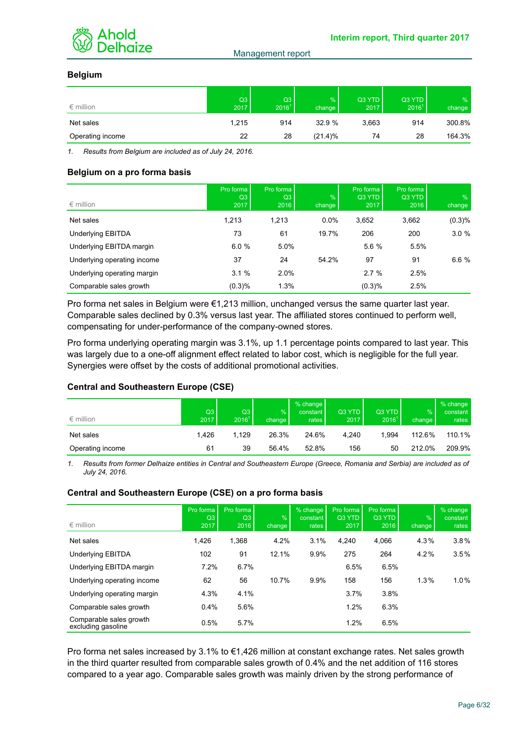

# **Belgium**

| $\epsilon$ million | Q3<br>2017 | Q3<br>$2016^1$ | %<br>change | Q3 YTD<br>2017 | Q3 YTD<br>2016 <sup>1</sup> | $\frac{9}{6}$<br>change |
|--------------------|------------|----------------|-------------|----------------|-----------------------------|-------------------------|
| Net sales          | 1,215      | 914            | 32.9%       | 3,663          | 914                         | 300.8%                  |
| Operating income   | 22         | 28             | $(21.4)\%$  | 74             | 28                          | 164.3%                  |

*1. Results from Belgium are included as of July 24, 2016.*

#### **Belgium on a pro forma basis**

| $\epsilon$ million          | Pro forma<br>Q3<br>2017 | Pro forma<br>Q3<br>2016 | $\frac{9}{6}$<br>change | Pro forma<br>Q3 YTD<br>2017 | Pro forma<br>Q3 YTD<br>2016 | $\frac{9}{6}$<br>change |
|-----------------------------|-------------------------|-------------------------|-------------------------|-----------------------------|-----------------------------|-------------------------|
| Net sales                   | 1,213                   | 1,213                   | $0.0\%$                 | 3,652                       | 3,662                       | (0.3)%                  |
| <b>Underlying EBITDA</b>    | 73                      | 61                      | 19.7%                   | 206                         | 200                         | 3.0%                    |
| Underlying EBITDA margin    | 6.0%                    | 5.0%                    |                         | 5.6 %                       | 5.5%                        |                         |
| Underlying operating income | 37                      | 24                      | 54.2%                   | 97                          | 91                          | 6.6%                    |
| Underlying operating margin | 3.1%                    | 2.0%                    |                         | 2.7%                        | 2.5%                        |                         |
| Comparable sales growth     | (0.3)%                  | 1.3%                    |                         | (0.3)%                      | 2.5%                        |                         |

Pro forma net sales in Belgium were €1,213 million, unchanged versus the same quarter last year. Comparable sales declined by 0.3% versus last year. The affiliated stores continued to perform well, compensating for under-performance of the company-owned stores.

Pro forma underlying operating margin was 3.1%, up 1.1 percentage points compared to last year. This was largely due to a one-off alignment effect related to labor cost, which is negligible for the full year. Synergies were offset by the costs of additional promotional activities.

#### **Central and Southeastern Europe (CSE)**

| $\epsilon$ million | Q3<br>2017 | Q3<br>2016 <sup>1</sup> | $\frac{9}{6}$<br>change | % change<br>constant<br>rates | Q3 YTD<br>2017 | Q3 YTD<br>2016 <sup>1</sup> | $\%$<br>change | % change<br>constant<br>rates $ $ |
|--------------------|------------|-------------------------|-------------------------|-------------------------------|----------------|-----------------------------|----------------|-----------------------------------|
| Net sales          | 1.426      | 1.129                   | 26.3%                   | 24.6%                         | 4.240          | 1.994                       | 112.6%         | 110.1%                            |
| Operating income   | 61         | 39                      | 56.4%                   | 52.8%                         | 156            | 50                          | 212.0%         | 209.9%                            |

*1. Results from former Delhaize entities in Central and Southeastern Europe (Greece, Romania and Serbia) are included as of July 24, 2016.*

# **Central and Southeastern Europe (CSE) on a pro forma basis**

| $\epsilon$ million                            | Pro forma<br>Q <sub>3</sub><br>2017 | Pro forma<br>Q <sub>3</sub><br>2016 | $\%$<br>change | % change<br>constant  <br>rates | Pro forma<br>Q3 YTD<br>2017 | Pro forma<br>Q3 YTD<br>2016 | $\frac{1}{2}$<br>change | % change<br>constant<br>rates |
|-----------------------------------------------|-------------------------------------|-------------------------------------|----------------|---------------------------------|-----------------------------|-----------------------------|-------------------------|-------------------------------|
|                                               |                                     |                                     |                |                                 |                             |                             |                         |                               |
| Net sales                                     | 1,426                               | 1,368                               | 4.2%           | 3.1%                            | 4.240                       | 4,066                       | 4.3%                    | 3.8%                          |
| Underlying EBITDA                             | 102                                 | 91                                  | 12.1%          | 9.9%                            | 275                         | 264                         | 4.2%                    | 3.5%                          |
| Underlying EBITDA margin                      | 7.2%                                | 6.7%                                |                |                                 | 6.5%                        | 6.5%                        |                         |                               |
| Underlying operating income                   | 62                                  | 56                                  | 10.7%          | 9.9%                            | 158                         | 156                         | 1.3%                    | 1.0%                          |
| Underlying operating margin                   | 4.3%                                | 4.1%                                |                |                                 | 3.7%                        | 3.8%                        |                         |                               |
| Comparable sales growth                       | 0.4%                                | 5.6%                                |                |                                 | 1.2%                        | 6.3%                        |                         |                               |
| Comparable sales growth<br>excluding gasoline | 0.5%                                | 5.7%                                |                |                                 | 1.2%                        | 6.5%                        |                         |                               |

Pro forma net sales increased by 3.1% to €1,426 million at constant exchange rates. Net sales growth in the third quarter resulted from comparable sales growth of 0.4% and the net addition of 116 stores compared to a year ago. Comparable sales growth was mainly driven by the strong performance of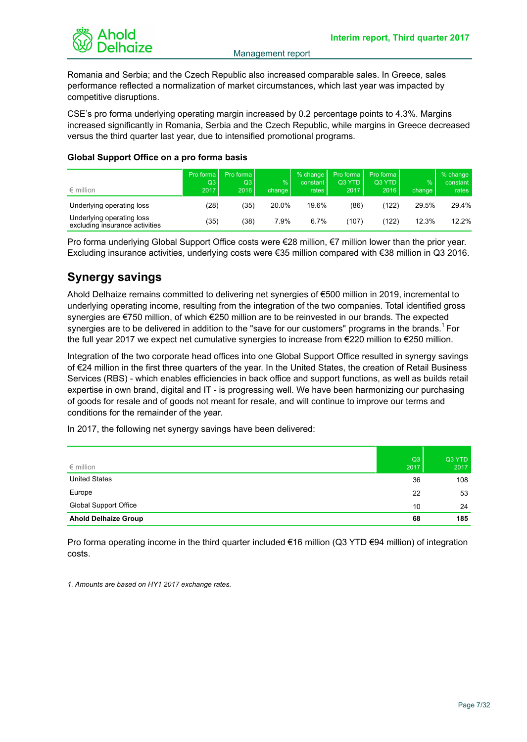

Romania and Serbia; and the Czech Republic also increased comparable sales. In Greece, sales performance reflected a normalization of market circumstances, which last year was impacted by competitive disruptions.

CSE's pro forma underlying operating margin increased by 0.2 percentage points to 4.3%. Margins increased significantly in Romania, Serbia and the Czech Republic, while margins in Greece decreased versus the third quarter last year, due to intensified promotional programs.

# **Global Support Office on a pro forma basis**

| $\epsilon$ million                                          | Pro forma<br>Q3<br>2017 | Pro forma L<br>Q3  <br>2016 | $\frac{9}{6}$<br>change l | $%$ change<br>constant l<br>rates | Pro forma I<br>Q3 YTD<br>2017 | Pro forma<br>Q3 YTD<br>2016 | $\frac{9}{6}$<br>change | % change<br>constant  <br>rates |
|-------------------------------------------------------------|-------------------------|-----------------------------|---------------------------|-----------------------------------|-------------------------------|-----------------------------|-------------------------|---------------------------------|
| Underlying operating loss                                   | (28)                    | (35)                        | 20.0%                     | 19.6%                             | (86)                          | (122)                       | 29.5%                   | 29.4%                           |
| Underlying operating loss<br>excluding insurance activities | (35)                    | (38)                        | 7.9%                      | 6.7%                              | (107)                         | (122)                       | 12.3%                   | 12.2%                           |

Pro forma underlying Global Support Office costs were €28 million, €7 million lower than the prior year. Excluding insurance activities, underlying costs were €35 million compared with €38 million in Q3 2016.

# **Synergy savings**

Ahold Delhaize remains committed to delivering net synergies of €500 million in 2019, incremental to underlying operating income, resulting from the integration of the two companies. Total identified gross synergies are €750 million, of which €250 million are to be reinvested in our brands. The expected synergies are to be delivered in addition to the "save for our customers" programs in the brands.<sup>1</sup> For the full year 2017 we expect net cumulative synergies to increase from €220 million to €250 million.

Integration of the two corporate head offices into one Global Support Office resulted in synergy savings of €24 million in the first three quarters of the year. In the United States, the creation of Retail Business Services (RBS) - which enables efficiencies in back office and support functions, as well as builds retail expertise in own brand, digital and IT - is progressing well. We have been harmonizing our purchasing of goods for resale and of goods not meant for resale, and will continue to improve our terms and conditions for the remainder of the year.

In 2017, the following net synergy savings have been delivered:

| $\epsilon$ million          | Q3<br>2017 | Q3 YTD<br>2017 |
|-----------------------------|------------|----------------|
| <b>United States</b>        | 36         | 108            |
| Europe                      | 22         | 53             |
| Global Support Office       | 10         | 24             |
| <b>Ahold Delhaize Group</b> | 68         | 185            |

Pro forma operating income in the third quarter included €16 million (Q3 YTD €94 million) of integration costs.

*1. Amounts are based on HY1 2017 exchange rates.*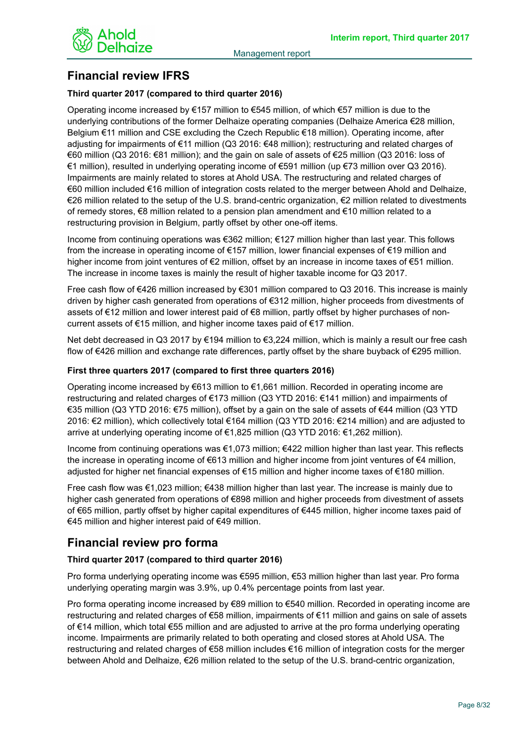

# **Financial review IFRS**

# **Third quarter 2017 (compared to third quarter 2016)**

Operating income increased by €157 million to €545 million, of which €57 million is due to the underlying contributions of the former Delhaize operating companies (Delhaize America €28 million, Belgium €11 million and CSE excluding the Czech Republic €18 million). Operating income, after adjusting for impairments of €11 million (Q3 2016: €48 million); restructuring and related charges of €60 million (Q3 2016: €81 million); and the gain on sale of assets of €25 million (Q3 2016: loss of €1 million), resulted in underlying operating income of €591 million (up €73 million over Q3 2016). Impairments are mainly related to stores at Ahold USA. The restructuring and related charges of €60 million included €16 million of integration costs related to the merger between Ahold and Delhaize, €26 million related to the setup of the U.S. brand-centric organization, €2 million related to divestments of remedy stores, €8 million related to a pension plan amendment and €10 million related to a restructuring provision in Belgium, partly offset by other one-off items.

Income from continuing operations was €362 million; €127 million higher than last year. This follows from the increase in operating income of €157 million, lower financial expenses of €19 million and higher income from joint ventures of €2 million, offset by an increase in income taxes of €51 million. The increase in income taxes is mainly the result of higher taxable income for Q3 2017.

Free cash flow of €426 million increased by €301 million compared to Q3 2016. This increase is mainly driven by higher cash generated from operations of €312 million, higher proceeds from divestments of assets of €12 million and lower interest paid of €8 million, partly offset by higher purchases of noncurrent assets of €15 million, and higher income taxes paid of €17 million.

Net debt decreased in Q3 2017 by €194 million to €3,224 million, which is mainly a result our free cash flow of €426 million and exchange rate differences, partly offset by the share buyback of €295 million.

### **First three quarters 2017 (compared to first three quarters 2016)**

Operating income increased by €613 million to €1,661 million. Recorded in operating income are restructuring and related charges of €173 million (Q3 YTD 2016: €141 million) and impairments of €35 million (Q3 YTD 2016: €75 million), offset by a gain on the sale of assets of €44 million (Q3 YTD 2016: €2 million), which collectively total €164 million (Q3 YTD 2016: €214 million) and are adjusted to arrive at underlying operating income of €1,825 million (Q3 YTD 2016: €1,262 million).

Income from continuing operations was €1,073 million; €422 million higher than last year. This reflects the increase in operating income of €613 million and higher income from joint ventures of €4 million, adjusted for higher net financial expenses of €15 million and higher income taxes of €180 million.

Free cash flow was €1,023 million; €438 million higher than last year. The increase is mainly due to higher cash generated from operations of €898 million and higher proceeds from divestment of assets of €65 million, partly offset by higher capital expenditures of €445 million, higher income taxes paid of €45 million and higher interest paid of €49 million.

# **Financial review pro forma**

# **Third quarter 2017 (compared to third quarter 2016)**

Pro forma underlying operating income was €595 million, €53 million higher than last year. Pro forma underlying operating margin was 3.9%, up 0.4% percentage points from last year.

Pro forma operating income increased by €89 million to €540 million. Recorded in operating income are restructuring and related charges of €58 million, impairments of €11 million and gains on sale of assets of €14 million, which total €55 million and are adjusted to arrive at the pro forma underlying operating income. Impairments are primarily related to both operating and closed stores at Ahold USA. The restructuring and related charges of €58 million includes €16 million of integration costs for the merger between Ahold and Delhaize, €26 million related to the setup of the U.S. brand-centric organization,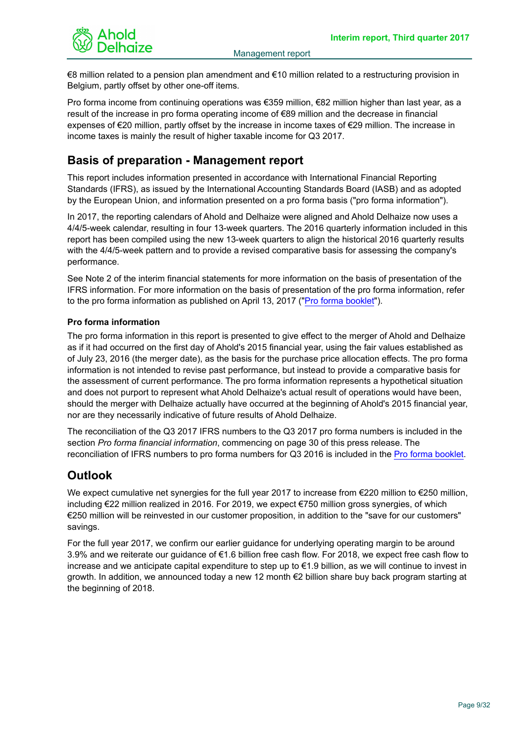

€8 million related to a pension plan amendment and €10 million related to a restructuring provision in Belgium, partly offset by other one-off items.

Pro forma income from continuing operations was €359 million, €82 million higher than last year, as a result of the increase in pro forma operating income of €89 million and the decrease in financial expenses of €20 million, partly offset by the increase in income taxes of €29 million. The increase in income taxes is mainly the result of higher taxable income for Q3 2017.

# **Basis of preparation - Management report**

This report includes information presented in accordance with International Financial Reporting Standards (IFRS), as issued by the International Accounting Standards Board (IASB) and as adopted by the European Union, and information presented on a pro forma basis ("pro forma information").

In 2017, the reporting calendars of Ahold and Delhaize were aligned and Ahold Delhaize now uses a 4/4/5-week calendar, resulting in four 13-week quarters. The 2016 quarterly information included in this report has been compiled using the new 13-week quarters to align the historical 2016 quarterly results with the 4/4/5-week pattern and to provide a revised comparative basis for assessing the company's performance.

See Note 2 of the interim financial statements for more information on the basis of presentation of the IFRS information. For more information on the basis of presentation of the pro forma information, refer to the pro forma information as published on April 13, 2017 ("[Pro forma booklet"](https://www.aholddelhaize.com/media/4415/170413_booklet-pro-forma-information-2016_2.pdf)).

# **Pro forma information**

The pro forma information in this report is presented to give effect to the merger of Ahold and Delhaize as if it had occurred on the first day of Ahold's 2015 financial year, using the fair values established as of July 23, 2016 (the merger date), as the basis for the purchase price allocation effects. The pro forma information is not intended to revise past performance, but instead to provide a comparative basis for the assessment of current performance. The pro forma information represents a hypothetical situation and does not purport to represent what Ahold Delhaize's actual result of operations would have been, should the merger with Delhaize actually have occurred at the beginning of Ahold's 2015 financial year, nor are they necessarily indicative of future results of Ahold Delhaize.

The reconciliation of the Q3 2017 IFRS numbers to the Q3 2017 pro forma numbers is included in the section *Pro forma financial information*, commencing on page 30 of this press release. The reconciliation of IFRS numbers to pro forma numbers for Q3 2016 is included in the [Pro forma booklet](https://www.aholddelhaize.com/media/4415/170413_booklet-pro-forma-information-2016_2.pdf).

# **Outlook**

We expect cumulative net synergies for the full year 2017 to increase from €220 million to €250 million, including €22 million realized in 2016. For 2019, we expect €750 million gross synergies, of which €250 million will be reinvested in our customer proposition, in addition to the "save for our customers" savings.

For the full year 2017, we confirm our earlier guidance for underlying operating margin to be around 3.9% and we reiterate our guidance of €1.6 billion free cash flow. For 2018, we expect free cash flow to increase and we anticipate capital expenditure to step up to €1.9 billion, as we will continue to invest in growth. In addition, we announced today a new 12 month €2 billion share buy back program starting at the beginning of 2018.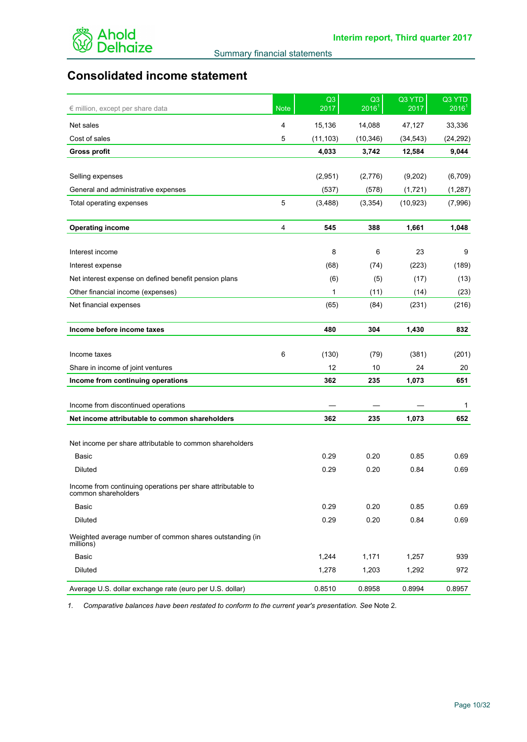

# **Consolidated income statement**

| € million, except per share data                                                   | <b>Note</b> | Q3<br>2017 | Q3<br>2016 <sup>1</sup> | Q3 YTD<br>2017 | Q3 YTD<br>2016 <sup>1</sup> |
|------------------------------------------------------------------------------------|-------------|------------|-------------------------|----------------|-----------------------------|
| Net sales                                                                          | 4           | 15,136     | 14,088                  | 47,127         | 33,336                      |
| Cost of sales                                                                      | 5           | (11, 103)  | (10, 346)               | (34, 543)      | (24, 292)                   |
| <b>Gross profit</b>                                                                |             | 4,033      | 3,742                   | 12,584         | 9,044                       |
|                                                                                    |             |            |                         |                |                             |
| Selling expenses                                                                   |             | (2,951)    | (2,776)                 | (9,202)        | (6, 709)                    |
| General and administrative expenses                                                |             | (537)      | (578)                   | (1,721)        | (1, 287)                    |
| Total operating expenses                                                           | 5           | (3,488)    | (3, 354)                | (10, 923)      | (7,996)                     |
| <b>Operating income</b>                                                            | 4           | 545        | 388                     | 1,661          | 1,048                       |
| Interest income                                                                    |             | 8          | 6                       | 23             | 9                           |
|                                                                                    |             |            |                         |                |                             |
| Interest expense<br>Net interest expense on defined benefit pension plans          |             | (68)       | (74)                    | (223)          | (189)                       |
|                                                                                    |             | (6)<br>1   | (5)                     | (17)           | (13)                        |
| Other financial income (expenses)                                                  |             |            | (11)                    | (14)           | (23)                        |
| Net financial expenses                                                             |             | (65)       | (84)                    | (231)          | (216)                       |
| Income before income taxes                                                         |             | 480        | 304                     | 1,430          | 832                         |
| Income taxes                                                                       | 6           | (130)      | (79)                    | (381)          | (201)                       |
| Share in income of joint ventures                                                  |             | 12         | 10                      | 24             | 20                          |
| Income from continuing operations                                                  |             | 362        | 235                     | 1,073          | 651                         |
| Income from discontinued operations                                                |             |            |                         |                | 1                           |
| Net income attributable to common shareholders                                     |             | 362        | 235                     | 1,073          | 652                         |
|                                                                                    |             |            |                         |                |                             |
| Net income per share attributable to common shareholders                           |             |            |                         |                |                             |
| Basic                                                                              |             | 0.29       | 0.20                    | 0.85           | 0.69                        |
| <b>Diluted</b>                                                                     |             | 0.29       | 0.20                    | 0.84           | 0.69                        |
| Income from continuing operations per share attributable to<br>common shareholders |             |            |                         |                |                             |
| Basic                                                                              |             | 0.29       | 0.20                    | 0.85           | 0.69                        |
| Diluted                                                                            |             | 0.29       | 0.20                    | 0.84           | 0.69                        |
| Weighted average number of common shares outstanding (in<br>millions)              |             |            |                         |                |                             |
| Basic                                                                              |             | 1,244      | 1,171                   | 1,257          | 939                         |
| Diluted                                                                            |             | 1,278      | 1,203                   | 1,292          | 972                         |
| Average U.S. dollar exchange rate (euro per U.S. dollar)                           |             | 0.8510     | 0.8958                  | 0.8994         | 0.8957                      |

*1. Comparative balances have been restated to conform to the current year's presentation. See* Note 2*.*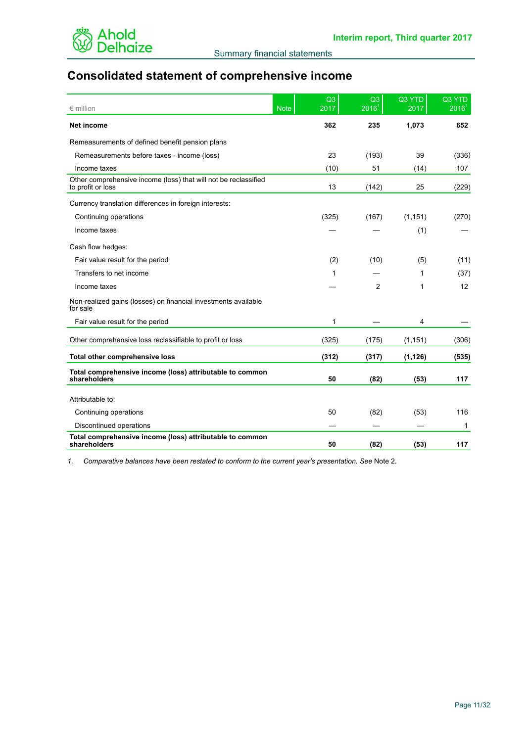

# **Consolidated statement of comprehensive income**

| $\epsilon$ million                                                                   | <b>Note</b> | Q3<br>2017 | Q <sub>3</sub><br>2016 <sup>1</sup> | Q3 YTD<br>2017 | Q3 YTD<br>2016 <sup>1</sup> |
|--------------------------------------------------------------------------------------|-------------|------------|-------------------------------------|----------------|-----------------------------|
| <b>Net income</b>                                                                    |             | 362        | 235                                 | 1,073          | 652                         |
| Remeasurements of defined benefit pension plans                                      |             |            |                                     |                |                             |
| Remeasurements before taxes - income (loss)                                          |             | 23         | (193)                               | 39             | (336)                       |
| Income taxes                                                                         |             | (10)       | 51                                  | (14)           | 107                         |
| Other comprehensive income (loss) that will not be reclassified<br>to profit or loss |             | 13         | (142)                               | 25             | (229)                       |
| Currency translation differences in foreign interests:                               |             |            |                                     |                |                             |
| Continuing operations                                                                |             | (325)      | (167)                               | (1, 151)       | (270)                       |
| Income taxes                                                                         |             |            |                                     | (1)            |                             |
| Cash flow hedges:                                                                    |             |            |                                     |                |                             |
| Fair value result for the period                                                     |             | (2)        | (10)                                | (5)            | (11)                        |
| Transfers to net income                                                              |             | 1          |                                     | 1              | (37)                        |
| Income taxes                                                                         |             |            | 2                                   | 1              | 12                          |
| Non-realized gains (losses) on financial investments available<br>for sale           |             |            |                                     |                |                             |
| Fair value result for the period                                                     |             | 1          |                                     | 4              |                             |
| Other comprehensive loss reclassifiable to profit or loss                            |             | (325)      | (175)                               | (1, 151)       | (306)                       |
| Total other comprehensive loss                                                       |             | (312)      | (317)                               | (1, 126)       | (535)                       |
| Total comprehensive income (loss) attributable to common<br>shareholders             |             | 50         | (82)                                | (53)           | 117                         |
| Attributable to:                                                                     |             |            |                                     |                |                             |
| Continuing operations                                                                |             | 50         | (82)                                | (53)           | 116                         |
| Discontinued operations                                                              |             |            |                                     |                | 1                           |
| Total comprehensive income (loss) attributable to common<br>shareholders             |             | 50         | (82)                                | (53)           | 117                         |

*1. Comparative balances have been restated to conform to the current year's presentation. See* Note 2*.*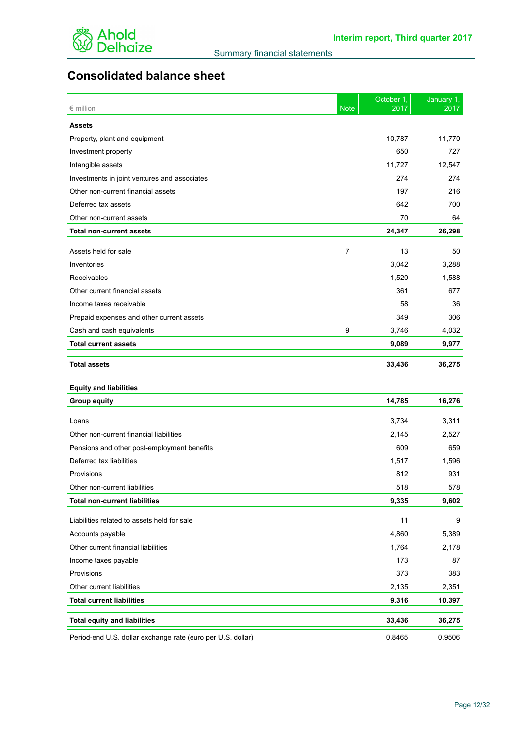

# **Consolidated balance sheet**

| $\epsilon$ million                                          | <b>Note</b>    | October 1,<br>2017 | January 1,<br>2017 |
|-------------------------------------------------------------|----------------|--------------------|--------------------|
| <b>Assets</b>                                               |                |                    |                    |
| Property, plant and equipment                               |                | 10,787             | 11,770             |
| Investment property                                         |                | 650                | 727                |
| Intangible assets                                           |                | 11,727             | 12,547             |
| Investments in joint ventures and associates                |                | 274                | 274                |
| Other non-current financial assets                          |                | 197                | 216                |
| Deferred tax assets                                         |                | 642                | 700                |
| Other non-current assets                                    |                | 70                 | 64                 |
| <b>Total non-current assets</b>                             |                | 24,347             | 26,298             |
| Assets held for sale                                        | $\overline{7}$ | 13                 | 50                 |
| Inventories                                                 |                | 3,042              | 3,288              |
| Receivables                                                 |                | 1,520              | 1,588              |
| Other current financial assets                              |                | 361                | 677                |
| Income taxes receivable                                     |                | 58                 | 36                 |
| Prepaid expenses and other current assets                   |                | 349                | 306                |
| Cash and cash equivalents                                   | 9              | 3,746              | 4,032              |
| <b>Total current assets</b>                                 |                | 9,089              | 9,977              |
| <b>Total assets</b>                                         |                | 33,436             | 36,275             |
| <b>Equity and liabilities</b>                               |                |                    |                    |
| <b>Group equity</b>                                         |                | 14,785             | 16,276             |
|                                                             |                |                    |                    |
| Loans                                                       |                | 3,734              | 3,311              |
| Other non-current financial liabilities                     |                | 2,145              | 2,527              |
| Pensions and other post-employment benefits                 |                | 609                | 659                |
| Deferred tax liabilities                                    |                | 1,517              | 1,596              |
| Provisions                                                  |                | 812                | 931                |
| Other non-current liabilities                               |                | 518                | 578                |
| <b>Total non-current liabilities</b>                        |                | 9,335              | 9,602              |
| Liabilities related to assets held for sale                 |                | 11                 | 9                  |
| Accounts payable                                            |                | 4,860              | 5,389              |
| Other current financial liabilities                         |                | 1,764              | 2,178              |
| Income taxes payable                                        |                | 173                | 87                 |
| Provisions                                                  |                | 373                | 383                |
| Other current liabilities                                   |                | 2,135              | 2,351              |
| <b>Total current liabilities</b>                            |                | 9,316              | 10,397             |
| <b>Total equity and liabilities</b>                         |                | 33,436             | 36,275             |
| Period-end U.S. dollar exchange rate (euro per U.S. dollar) |                | 0.8465             | 0.9506             |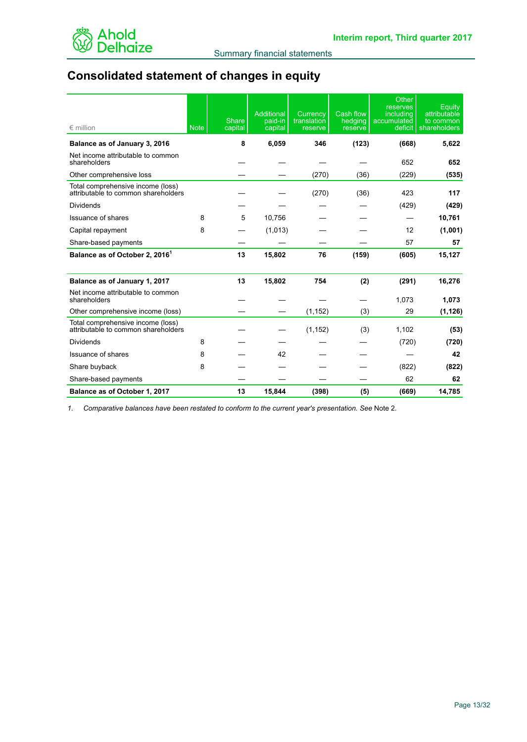

# **Consolidated statement of changes in equity**

| $\epsilon$ million                                                       | <b>Note</b> | <b>Share</b><br>capital | Additional<br>paid-in<br>capital | Currency<br>translation<br>reserve | Cash flow<br>hedging<br>reserve | Other<br>reserves<br>including<br>accumulated<br>deficit | Equity<br>attributable<br>to common<br>shareholders |
|--------------------------------------------------------------------------|-------------|-------------------------|----------------------------------|------------------------------------|---------------------------------|----------------------------------------------------------|-----------------------------------------------------|
| Balance as of January 3, 2016                                            |             | 8                       | 6,059                            | 346                                | (123)                           | (668)                                                    | 5,622                                               |
| Net income attributable to common<br>shareholders                        |             |                         |                                  |                                    |                                 | 652                                                      | 652                                                 |
| Other comprehensive loss                                                 |             |                         |                                  | (270)                              | (36)                            | (229)                                                    | (535)                                               |
| Total comprehensive income (loss)<br>attributable to common shareholders |             |                         |                                  | (270)                              | (36)                            | 423                                                      | 117                                                 |
| <b>Dividends</b>                                                         |             |                         |                                  |                                    |                                 | (429)                                                    | (429)                                               |
| <b>Issuance of shares</b>                                                | 8           | 5                       | 10,756                           |                                    |                                 |                                                          | 10,761                                              |
| Capital repayment                                                        | 8           |                         | (1,013)                          |                                    |                                 | 12                                                       | (1,001)                                             |
| Share-based payments                                                     |             |                         |                                  |                                    |                                 | 57                                                       | 57                                                  |
| Balance as of October 2, 2016 <sup>1</sup>                               |             | 13                      | 15,802                           | 76                                 | (159)                           | (605)                                                    | 15,127                                              |
| Balance as of January 1, 2017                                            |             | 13                      | 15,802                           | 754                                | (2)                             | (291)                                                    | 16,276                                              |
| Net income attributable to common<br>shareholders                        |             |                         |                                  |                                    |                                 | 1,073                                                    | 1,073                                               |
| Other comprehensive income (loss)                                        |             |                         |                                  | (1, 152)                           | (3)                             | 29                                                       | (1, 126)                                            |
| Total comprehensive income (loss)<br>attributable to common shareholders |             |                         |                                  | (1, 152)                           | (3)                             | 1,102                                                    | (53)                                                |
| Dividends                                                                | 8           |                         |                                  |                                    |                                 | (720)                                                    | (720)                                               |
| Issuance of shares                                                       | 8           |                         | 42                               |                                    |                                 |                                                          | 42                                                  |
| Share buyback                                                            | 8           |                         |                                  |                                    |                                 | (822)                                                    | (822)                                               |
| Share-based payments                                                     |             |                         |                                  |                                    |                                 | 62                                                       | 62                                                  |
| Balance as of October 1, 2017                                            |             | 13                      | 15,844                           | (398)                              | (5)                             | (669)                                                    | 14,785                                              |

*1. Comparative balances have been restated to conform to the current year's presentation. See* Note 2*.*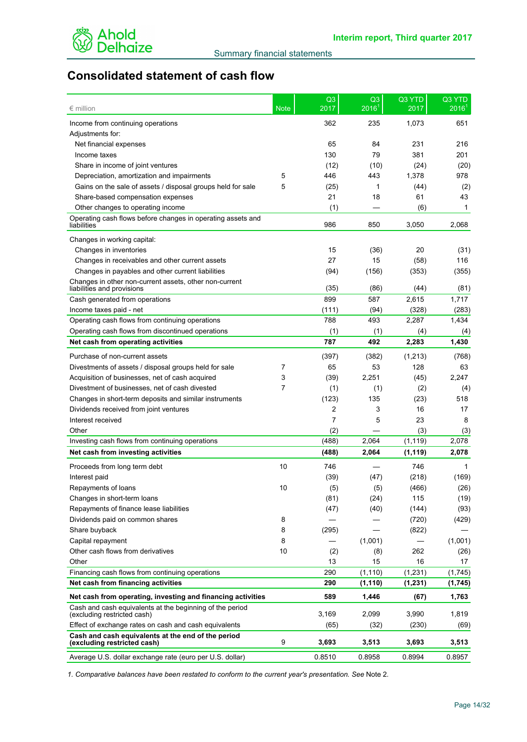

# **Consolidated statement of cash flow**

| 362<br>235<br>1,073<br>651<br>Income from continuing operations<br>Adjustments for:<br>65<br>84<br>231<br>216<br>Net financial expenses<br>130<br>79<br>381<br>201<br>Income taxes<br>Share in income of joint ventures<br>(12)<br>(10)<br>(24)<br>(20)<br>Depreciation, amortization and impairments<br>5<br>446<br>443<br>1,378<br>978<br>Gains on the sale of assets / disposal groups held for sale<br>5<br>(2)<br>(25)<br>1<br>(44)<br>Share-based compensation expenses<br>21<br>18<br>61<br>43<br>(1)<br>Other changes to operating income<br>(6)<br>$\mathbf 1$<br>Operating cash flows before changes in operating assets and<br>986<br>850<br>3,050<br>2,068<br>liabilities<br>Changes in working capital:<br>20<br>Changes in inventories<br>15<br>(36)<br>(31)<br>27<br>15<br>116<br>Changes in receivables and other current assets<br>(58)<br>Changes in payables and other current liabilities<br>(94)<br>(156)<br>(353)<br>(355)<br>Changes in other non-current assets, other non-current<br>(35)<br>liabilities and provisions<br>(86)<br>(44)<br>(81)<br>899<br>2,615<br>1,717<br>Cash generated from operations<br>587<br>(111)<br>(94)<br>(328)<br>(283)<br>Income taxes paid - net<br>788<br>Operating cash flows from continuing operations<br>493<br>2,287<br>1,434<br>Operating cash flows from discontinued operations<br>(1)<br>(1)<br>(4)<br>(4)<br>787<br>492<br>2,283<br>1,430<br>Net cash from operating activities<br>Purchase of non-current assets<br>(397)<br>(382)<br>(1,213)<br>(768)<br>65<br>53<br>128<br>63<br>Divestments of assets / disposal groups held for sale<br>7<br>2,247<br>3<br>(39)<br>2,251<br>(45)<br>Acquisition of businesses, net of cash acquired<br>7<br>Divestment of businesses, net of cash divested<br>(1)<br>(1)<br>(2)<br>(4)<br>(123)<br>135<br>(23)<br>518<br>Changes in short-term deposits and similar instruments<br>2<br>3<br>16<br>17<br>Dividends received from joint ventures<br>7<br>5<br>23<br>8<br>Interest received<br>Other<br>(2)<br>(3)<br>(3)<br>(488)<br>(1, 119)<br>2,078<br>Investing cash flows from continuing operations<br>2,064<br>(488)<br>2,064<br>Net cash from investing activities<br>(1, 119)<br>2,078<br>10<br>746<br>746<br>Proceeds from long term debt<br>1<br>(39)<br>(47)<br>(218)<br>(169)<br>Interest paid<br>(5)<br>(26)<br>10<br>(5)<br>(466)<br>Repayments of loans<br>Changes in short-term loans<br>(81)<br>(24)<br>115<br>(19)<br>Repayments of finance lease liabilities<br>(40)<br>(93)<br>(47)<br>(144)<br>8<br>Dividends paid on common shares<br>(720)<br>(429)<br>Share buyback<br>8<br>(295)<br>(822)<br>(1,001)<br>Capital repayment<br>8<br>(1,001)<br>Other cash flows from derivatives<br>10<br>262<br>(2)<br>(8)<br>(26)<br>15<br>Other<br>13<br>16<br>17<br>290<br>(1, 231)<br>(1,745)<br>Financing cash flows from continuing operations<br>(1, 110)<br>Net cash from financing activities<br>290<br>(1, 110)<br>(1, 231)<br>(1,745)<br>Net cash from operating, investing and financing activities<br>589<br>1,446<br>1,763<br>(67)<br>Cash and cash equivalents at the beginning of the period<br>3,169<br>3,990<br>2,099<br>1,819<br>(excluding restricted cash)<br>Effect of exchange rates on cash and cash equivalents<br>(230)<br>(65)<br>(32)<br>(69)<br>Cash and cash equivalents at the end of the period<br>9<br>3,693<br>3,513<br>3,693<br>3,513<br>(excluding restricted cash)<br>0.8510<br>0.8994<br>0.8957<br>Average U.S. dollar exchange rate (euro per U.S. dollar)<br>0.8958 | $\epsilon$ million | <b>Note</b> | Q <sub>3</sub><br>2017 | Q3<br>$2016^1$ | Q3 YTD<br>2017 | Q3 YTD<br>$2016^1$ |
|-----------------------------------------------------------------------------------------------------------------------------------------------------------------------------------------------------------------------------------------------------------------------------------------------------------------------------------------------------------------------------------------------------------------------------------------------------------------------------------------------------------------------------------------------------------------------------------------------------------------------------------------------------------------------------------------------------------------------------------------------------------------------------------------------------------------------------------------------------------------------------------------------------------------------------------------------------------------------------------------------------------------------------------------------------------------------------------------------------------------------------------------------------------------------------------------------------------------------------------------------------------------------------------------------------------------------------------------------------------------------------------------------------------------------------------------------------------------------------------------------------------------------------------------------------------------------------------------------------------------------------------------------------------------------------------------------------------------------------------------------------------------------------------------------------------------------------------------------------------------------------------------------------------------------------------------------------------------------------------------------------------------------------------------------------------------------------------------------------------------------------------------------------------------------------------------------------------------------------------------------------------------------------------------------------------------------------------------------------------------------------------------------------------------------------------------------------------------------------------------------------------------------------------------------------------------------------------------------------------------------------------------------------------------------------------------------------------------------------------------------------------------------------------------------------------------------------------------------------------------------------------------------------------------------------------------------------------------------------------------------------------------------------------------------------------------------------------------------------------------------------------------------------------------------------------------------------------------------------------------------------------------------------------------------------------------------------------------------------------------------------------------------------------------------------------------------------------------------------------------------------------------------------|--------------------|-------------|------------------------|----------------|----------------|--------------------|
|                                                                                                                                                                                                                                                                                                                                                                                                                                                                                                                                                                                                                                                                                                                                                                                                                                                                                                                                                                                                                                                                                                                                                                                                                                                                                                                                                                                                                                                                                                                                                                                                                                                                                                                                                                                                                                                                                                                                                                                                                                                                                                                                                                                                                                                                                                                                                                                                                                                                                                                                                                                                                                                                                                                                                                                                                                                                                                                                                                                                                                                                                                                                                                                                                                                                                                                                                                                                                                                                                                                             |                    |             |                        |                |                |                    |
|                                                                                                                                                                                                                                                                                                                                                                                                                                                                                                                                                                                                                                                                                                                                                                                                                                                                                                                                                                                                                                                                                                                                                                                                                                                                                                                                                                                                                                                                                                                                                                                                                                                                                                                                                                                                                                                                                                                                                                                                                                                                                                                                                                                                                                                                                                                                                                                                                                                                                                                                                                                                                                                                                                                                                                                                                                                                                                                                                                                                                                                                                                                                                                                                                                                                                                                                                                                                                                                                                                                             |                    |             |                        |                |                |                    |
|                                                                                                                                                                                                                                                                                                                                                                                                                                                                                                                                                                                                                                                                                                                                                                                                                                                                                                                                                                                                                                                                                                                                                                                                                                                                                                                                                                                                                                                                                                                                                                                                                                                                                                                                                                                                                                                                                                                                                                                                                                                                                                                                                                                                                                                                                                                                                                                                                                                                                                                                                                                                                                                                                                                                                                                                                                                                                                                                                                                                                                                                                                                                                                                                                                                                                                                                                                                                                                                                                                                             |                    |             |                        |                |                |                    |
|                                                                                                                                                                                                                                                                                                                                                                                                                                                                                                                                                                                                                                                                                                                                                                                                                                                                                                                                                                                                                                                                                                                                                                                                                                                                                                                                                                                                                                                                                                                                                                                                                                                                                                                                                                                                                                                                                                                                                                                                                                                                                                                                                                                                                                                                                                                                                                                                                                                                                                                                                                                                                                                                                                                                                                                                                                                                                                                                                                                                                                                                                                                                                                                                                                                                                                                                                                                                                                                                                                                             |                    |             |                        |                |                |                    |
|                                                                                                                                                                                                                                                                                                                                                                                                                                                                                                                                                                                                                                                                                                                                                                                                                                                                                                                                                                                                                                                                                                                                                                                                                                                                                                                                                                                                                                                                                                                                                                                                                                                                                                                                                                                                                                                                                                                                                                                                                                                                                                                                                                                                                                                                                                                                                                                                                                                                                                                                                                                                                                                                                                                                                                                                                                                                                                                                                                                                                                                                                                                                                                                                                                                                                                                                                                                                                                                                                                                             |                    |             |                        |                |                |                    |
|                                                                                                                                                                                                                                                                                                                                                                                                                                                                                                                                                                                                                                                                                                                                                                                                                                                                                                                                                                                                                                                                                                                                                                                                                                                                                                                                                                                                                                                                                                                                                                                                                                                                                                                                                                                                                                                                                                                                                                                                                                                                                                                                                                                                                                                                                                                                                                                                                                                                                                                                                                                                                                                                                                                                                                                                                                                                                                                                                                                                                                                                                                                                                                                                                                                                                                                                                                                                                                                                                                                             |                    |             |                        |                |                |                    |
|                                                                                                                                                                                                                                                                                                                                                                                                                                                                                                                                                                                                                                                                                                                                                                                                                                                                                                                                                                                                                                                                                                                                                                                                                                                                                                                                                                                                                                                                                                                                                                                                                                                                                                                                                                                                                                                                                                                                                                                                                                                                                                                                                                                                                                                                                                                                                                                                                                                                                                                                                                                                                                                                                                                                                                                                                                                                                                                                                                                                                                                                                                                                                                                                                                                                                                                                                                                                                                                                                                                             |                    |             |                        |                |                |                    |
|                                                                                                                                                                                                                                                                                                                                                                                                                                                                                                                                                                                                                                                                                                                                                                                                                                                                                                                                                                                                                                                                                                                                                                                                                                                                                                                                                                                                                                                                                                                                                                                                                                                                                                                                                                                                                                                                                                                                                                                                                                                                                                                                                                                                                                                                                                                                                                                                                                                                                                                                                                                                                                                                                                                                                                                                                                                                                                                                                                                                                                                                                                                                                                                                                                                                                                                                                                                                                                                                                                                             |                    |             |                        |                |                |                    |
|                                                                                                                                                                                                                                                                                                                                                                                                                                                                                                                                                                                                                                                                                                                                                                                                                                                                                                                                                                                                                                                                                                                                                                                                                                                                                                                                                                                                                                                                                                                                                                                                                                                                                                                                                                                                                                                                                                                                                                                                                                                                                                                                                                                                                                                                                                                                                                                                                                                                                                                                                                                                                                                                                                                                                                                                                                                                                                                                                                                                                                                                                                                                                                                                                                                                                                                                                                                                                                                                                                                             |                    |             |                        |                |                |                    |
|                                                                                                                                                                                                                                                                                                                                                                                                                                                                                                                                                                                                                                                                                                                                                                                                                                                                                                                                                                                                                                                                                                                                                                                                                                                                                                                                                                                                                                                                                                                                                                                                                                                                                                                                                                                                                                                                                                                                                                                                                                                                                                                                                                                                                                                                                                                                                                                                                                                                                                                                                                                                                                                                                                                                                                                                                                                                                                                                                                                                                                                                                                                                                                                                                                                                                                                                                                                                                                                                                                                             |                    |             |                        |                |                |                    |
|                                                                                                                                                                                                                                                                                                                                                                                                                                                                                                                                                                                                                                                                                                                                                                                                                                                                                                                                                                                                                                                                                                                                                                                                                                                                                                                                                                                                                                                                                                                                                                                                                                                                                                                                                                                                                                                                                                                                                                                                                                                                                                                                                                                                                                                                                                                                                                                                                                                                                                                                                                                                                                                                                                                                                                                                                                                                                                                                                                                                                                                                                                                                                                                                                                                                                                                                                                                                                                                                                                                             |                    |             |                        |                |                |                    |
|                                                                                                                                                                                                                                                                                                                                                                                                                                                                                                                                                                                                                                                                                                                                                                                                                                                                                                                                                                                                                                                                                                                                                                                                                                                                                                                                                                                                                                                                                                                                                                                                                                                                                                                                                                                                                                                                                                                                                                                                                                                                                                                                                                                                                                                                                                                                                                                                                                                                                                                                                                                                                                                                                                                                                                                                                                                                                                                                                                                                                                                                                                                                                                                                                                                                                                                                                                                                                                                                                                                             |                    |             |                        |                |                |                    |
|                                                                                                                                                                                                                                                                                                                                                                                                                                                                                                                                                                                                                                                                                                                                                                                                                                                                                                                                                                                                                                                                                                                                                                                                                                                                                                                                                                                                                                                                                                                                                                                                                                                                                                                                                                                                                                                                                                                                                                                                                                                                                                                                                                                                                                                                                                                                                                                                                                                                                                                                                                                                                                                                                                                                                                                                                                                                                                                                                                                                                                                                                                                                                                                                                                                                                                                                                                                                                                                                                                                             |                    |             |                        |                |                |                    |
|                                                                                                                                                                                                                                                                                                                                                                                                                                                                                                                                                                                                                                                                                                                                                                                                                                                                                                                                                                                                                                                                                                                                                                                                                                                                                                                                                                                                                                                                                                                                                                                                                                                                                                                                                                                                                                                                                                                                                                                                                                                                                                                                                                                                                                                                                                                                                                                                                                                                                                                                                                                                                                                                                                                                                                                                                                                                                                                                                                                                                                                                                                                                                                                                                                                                                                                                                                                                                                                                                                                             |                    |             |                        |                |                |                    |
|                                                                                                                                                                                                                                                                                                                                                                                                                                                                                                                                                                                                                                                                                                                                                                                                                                                                                                                                                                                                                                                                                                                                                                                                                                                                                                                                                                                                                                                                                                                                                                                                                                                                                                                                                                                                                                                                                                                                                                                                                                                                                                                                                                                                                                                                                                                                                                                                                                                                                                                                                                                                                                                                                                                                                                                                                                                                                                                                                                                                                                                                                                                                                                                                                                                                                                                                                                                                                                                                                                                             |                    |             |                        |                |                |                    |
|                                                                                                                                                                                                                                                                                                                                                                                                                                                                                                                                                                                                                                                                                                                                                                                                                                                                                                                                                                                                                                                                                                                                                                                                                                                                                                                                                                                                                                                                                                                                                                                                                                                                                                                                                                                                                                                                                                                                                                                                                                                                                                                                                                                                                                                                                                                                                                                                                                                                                                                                                                                                                                                                                                                                                                                                                                                                                                                                                                                                                                                                                                                                                                                                                                                                                                                                                                                                                                                                                                                             |                    |             |                        |                |                |                    |
|                                                                                                                                                                                                                                                                                                                                                                                                                                                                                                                                                                                                                                                                                                                                                                                                                                                                                                                                                                                                                                                                                                                                                                                                                                                                                                                                                                                                                                                                                                                                                                                                                                                                                                                                                                                                                                                                                                                                                                                                                                                                                                                                                                                                                                                                                                                                                                                                                                                                                                                                                                                                                                                                                                                                                                                                                                                                                                                                                                                                                                                                                                                                                                                                                                                                                                                                                                                                                                                                                                                             |                    |             |                        |                |                |                    |
|                                                                                                                                                                                                                                                                                                                                                                                                                                                                                                                                                                                                                                                                                                                                                                                                                                                                                                                                                                                                                                                                                                                                                                                                                                                                                                                                                                                                                                                                                                                                                                                                                                                                                                                                                                                                                                                                                                                                                                                                                                                                                                                                                                                                                                                                                                                                                                                                                                                                                                                                                                                                                                                                                                                                                                                                                                                                                                                                                                                                                                                                                                                                                                                                                                                                                                                                                                                                                                                                                                                             |                    |             |                        |                |                |                    |
|                                                                                                                                                                                                                                                                                                                                                                                                                                                                                                                                                                                                                                                                                                                                                                                                                                                                                                                                                                                                                                                                                                                                                                                                                                                                                                                                                                                                                                                                                                                                                                                                                                                                                                                                                                                                                                                                                                                                                                                                                                                                                                                                                                                                                                                                                                                                                                                                                                                                                                                                                                                                                                                                                                                                                                                                                                                                                                                                                                                                                                                                                                                                                                                                                                                                                                                                                                                                                                                                                                                             |                    |             |                        |                |                |                    |
|                                                                                                                                                                                                                                                                                                                                                                                                                                                                                                                                                                                                                                                                                                                                                                                                                                                                                                                                                                                                                                                                                                                                                                                                                                                                                                                                                                                                                                                                                                                                                                                                                                                                                                                                                                                                                                                                                                                                                                                                                                                                                                                                                                                                                                                                                                                                                                                                                                                                                                                                                                                                                                                                                                                                                                                                                                                                                                                                                                                                                                                                                                                                                                                                                                                                                                                                                                                                                                                                                                                             |                    |             |                        |                |                |                    |
|                                                                                                                                                                                                                                                                                                                                                                                                                                                                                                                                                                                                                                                                                                                                                                                                                                                                                                                                                                                                                                                                                                                                                                                                                                                                                                                                                                                                                                                                                                                                                                                                                                                                                                                                                                                                                                                                                                                                                                                                                                                                                                                                                                                                                                                                                                                                                                                                                                                                                                                                                                                                                                                                                                                                                                                                                                                                                                                                                                                                                                                                                                                                                                                                                                                                                                                                                                                                                                                                                                                             |                    |             |                        |                |                |                    |
|                                                                                                                                                                                                                                                                                                                                                                                                                                                                                                                                                                                                                                                                                                                                                                                                                                                                                                                                                                                                                                                                                                                                                                                                                                                                                                                                                                                                                                                                                                                                                                                                                                                                                                                                                                                                                                                                                                                                                                                                                                                                                                                                                                                                                                                                                                                                                                                                                                                                                                                                                                                                                                                                                                                                                                                                                                                                                                                                                                                                                                                                                                                                                                                                                                                                                                                                                                                                                                                                                                                             |                    |             |                        |                |                |                    |
|                                                                                                                                                                                                                                                                                                                                                                                                                                                                                                                                                                                                                                                                                                                                                                                                                                                                                                                                                                                                                                                                                                                                                                                                                                                                                                                                                                                                                                                                                                                                                                                                                                                                                                                                                                                                                                                                                                                                                                                                                                                                                                                                                                                                                                                                                                                                                                                                                                                                                                                                                                                                                                                                                                                                                                                                                                                                                                                                                                                                                                                                                                                                                                                                                                                                                                                                                                                                                                                                                                                             |                    |             |                        |                |                |                    |
|                                                                                                                                                                                                                                                                                                                                                                                                                                                                                                                                                                                                                                                                                                                                                                                                                                                                                                                                                                                                                                                                                                                                                                                                                                                                                                                                                                                                                                                                                                                                                                                                                                                                                                                                                                                                                                                                                                                                                                                                                                                                                                                                                                                                                                                                                                                                                                                                                                                                                                                                                                                                                                                                                                                                                                                                                                                                                                                                                                                                                                                                                                                                                                                                                                                                                                                                                                                                                                                                                                                             |                    |             |                        |                |                |                    |
|                                                                                                                                                                                                                                                                                                                                                                                                                                                                                                                                                                                                                                                                                                                                                                                                                                                                                                                                                                                                                                                                                                                                                                                                                                                                                                                                                                                                                                                                                                                                                                                                                                                                                                                                                                                                                                                                                                                                                                                                                                                                                                                                                                                                                                                                                                                                                                                                                                                                                                                                                                                                                                                                                                                                                                                                                                                                                                                                                                                                                                                                                                                                                                                                                                                                                                                                                                                                                                                                                                                             |                    |             |                        |                |                |                    |
|                                                                                                                                                                                                                                                                                                                                                                                                                                                                                                                                                                                                                                                                                                                                                                                                                                                                                                                                                                                                                                                                                                                                                                                                                                                                                                                                                                                                                                                                                                                                                                                                                                                                                                                                                                                                                                                                                                                                                                                                                                                                                                                                                                                                                                                                                                                                                                                                                                                                                                                                                                                                                                                                                                                                                                                                                                                                                                                                                                                                                                                                                                                                                                                                                                                                                                                                                                                                                                                                                                                             |                    |             |                        |                |                |                    |
|                                                                                                                                                                                                                                                                                                                                                                                                                                                                                                                                                                                                                                                                                                                                                                                                                                                                                                                                                                                                                                                                                                                                                                                                                                                                                                                                                                                                                                                                                                                                                                                                                                                                                                                                                                                                                                                                                                                                                                                                                                                                                                                                                                                                                                                                                                                                                                                                                                                                                                                                                                                                                                                                                                                                                                                                                                                                                                                                                                                                                                                                                                                                                                                                                                                                                                                                                                                                                                                                                                                             |                    |             |                        |                |                |                    |
|                                                                                                                                                                                                                                                                                                                                                                                                                                                                                                                                                                                                                                                                                                                                                                                                                                                                                                                                                                                                                                                                                                                                                                                                                                                                                                                                                                                                                                                                                                                                                                                                                                                                                                                                                                                                                                                                                                                                                                                                                                                                                                                                                                                                                                                                                                                                                                                                                                                                                                                                                                                                                                                                                                                                                                                                                                                                                                                                                                                                                                                                                                                                                                                                                                                                                                                                                                                                                                                                                                                             |                    |             |                        |                |                |                    |
|                                                                                                                                                                                                                                                                                                                                                                                                                                                                                                                                                                                                                                                                                                                                                                                                                                                                                                                                                                                                                                                                                                                                                                                                                                                                                                                                                                                                                                                                                                                                                                                                                                                                                                                                                                                                                                                                                                                                                                                                                                                                                                                                                                                                                                                                                                                                                                                                                                                                                                                                                                                                                                                                                                                                                                                                                                                                                                                                                                                                                                                                                                                                                                                                                                                                                                                                                                                                                                                                                                                             |                    |             |                        |                |                |                    |
|                                                                                                                                                                                                                                                                                                                                                                                                                                                                                                                                                                                                                                                                                                                                                                                                                                                                                                                                                                                                                                                                                                                                                                                                                                                                                                                                                                                                                                                                                                                                                                                                                                                                                                                                                                                                                                                                                                                                                                                                                                                                                                                                                                                                                                                                                                                                                                                                                                                                                                                                                                                                                                                                                                                                                                                                                                                                                                                                                                                                                                                                                                                                                                                                                                                                                                                                                                                                                                                                                                                             |                    |             |                        |                |                |                    |
|                                                                                                                                                                                                                                                                                                                                                                                                                                                                                                                                                                                                                                                                                                                                                                                                                                                                                                                                                                                                                                                                                                                                                                                                                                                                                                                                                                                                                                                                                                                                                                                                                                                                                                                                                                                                                                                                                                                                                                                                                                                                                                                                                                                                                                                                                                                                                                                                                                                                                                                                                                                                                                                                                                                                                                                                                                                                                                                                                                                                                                                                                                                                                                                                                                                                                                                                                                                                                                                                                                                             |                    |             |                        |                |                |                    |
|                                                                                                                                                                                                                                                                                                                                                                                                                                                                                                                                                                                                                                                                                                                                                                                                                                                                                                                                                                                                                                                                                                                                                                                                                                                                                                                                                                                                                                                                                                                                                                                                                                                                                                                                                                                                                                                                                                                                                                                                                                                                                                                                                                                                                                                                                                                                                                                                                                                                                                                                                                                                                                                                                                                                                                                                                                                                                                                                                                                                                                                                                                                                                                                                                                                                                                                                                                                                                                                                                                                             |                    |             |                        |                |                |                    |
|                                                                                                                                                                                                                                                                                                                                                                                                                                                                                                                                                                                                                                                                                                                                                                                                                                                                                                                                                                                                                                                                                                                                                                                                                                                                                                                                                                                                                                                                                                                                                                                                                                                                                                                                                                                                                                                                                                                                                                                                                                                                                                                                                                                                                                                                                                                                                                                                                                                                                                                                                                                                                                                                                                                                                                                                                                                                                                                                                                                                                                                                                                                                                                                                                                                                                                                                                                                                                                                                                                                             |                    |             |                        |                |                |                    |
|                                                                                                                                                                                                                                                                                                                                                                                                                                                                                                                                                                                                                                                                                                                                                                                                                                                                                                                                                                                                                                                                                                                                                                                                                                                                                                                                                                                                                                                                                                                                                                                                                                                                                                                                                                                                                                                                                                                                                                                                                                                                                                                                                                                                                                                                                                                                                                                                                                                                                                                                                                                                                                                                                                                                                                                                                                                                                                                                                                                                                                                                                                                                                                                                                                                                                                                                                                                                                                                                                                                             |                    |             |                        |                |                |                    |
|                                                                                                                                                                                                                                                                                                                                                                                                                                                                                                                                                                                                                                                                                                                                                                                                                                                                                                                                                                                                                                                                                                                                                                                                                                                                                                                                                                                                                                                                                                                                                                                                                                                                                                                                                                                                                                                                                                                                                                                                                                                                                                                                                                                                                                                                                                                                                                                                                                                                                                                                                                                                                                                                                                                                                                                                                                                                                                                                                                                                                                                                                                                                                                                                                                                                                                                                                                                                                                                                                                                             |                    |             |                        |                |                |                    |
|                                                                                                                                                                                                                                                                                                                                                                                                                                                                                                                                                                                                                                                                                                                                                                                                                                                                                                                                                                                                                                                                                                                                                                                                                                                                                                                                                                                                                                                                                                                                                                                                                                                                                                                                                                                                                                                                                                                                                                                                                                                                                                                                                                                                                                                                                                                                                                                                                                                                                                                                                                                                                                                                                                                                                                                                                                                                                                                                                                                                                                                                                                                                                                                                                                                                                                                                                                                                                                                                                                                             |                    |             |                        |                |                |                    |
|                                                                                                                                                                                                                                                                                                                                                                                                                                                                                                                                                                                                                                                                                                                                                                                                                                                                                                                                                                                                                                                                                                                                                                                                                                                                                                                                                                                                                                                                                                                                                                                                                                                                                                                                                                                                                                                                                                                                                                                                                                                                                                                                                                                                                                                                                                                                                                                                                                                                                                                                                                                                                                                                                                                                                                                                                                                                                                                                                                                                                                                                                                                                                                                                                                                                                                                                                                                                                                                                                                                             |                    |             |                        |                |                |                    |
|                                                                                                                                                                                                                                                                                                                                                                                                                                                                                                                                                                                                                                                                                                                                                                                                                                                                                                                                                                                                                                                                                                                                                                                                                                                                                                                                                                                                                                                                                                                                                                                                                                                                                                                                                                                                                                                                                                                                                                                                                                                                                                                                                                                                                                                                                                                                                                                                                                                                                                                                                                                                                                                                                                                                                                                                                                                                                                                                                                                                                                                                                                                                                                                                                                                                                                                                                                                                                                                                                                                             |                    |             |                        |                |                |                    |
|                                                                                                                                                                                                                                                                                                                                                                                                                                                                                                                                                                                                                                                                                                                                                                                                                                                                                                                                                                                                                                                                                                                                                                                                                                                                                                                                                                                                                                                                                                                                                                                                                                                                                                                                                                                                                                                                                                                                                                                                                                                                                                                                                                                                                                                                                                                                                                                                                                                                                                                                                                                                                                                                                                                                                                                                                                                                                                                                                                                                                                                                                                                                                                                                                                                                                                                                                                                                                                                                                                                             |                    |             |                        |                |                |                    |
|                                                                                                                                                                                                                                                                                                                                                                                                                                                                                                                                                                                                                                                                                                                                                                                                                                                                                                                                                                                                                                                                                                                                                                                                                                                                                                                                                                                                                                                                                                                                                                                                                                                                                                                                                                                                                                                                                                                                                                                                                                                                                                                                                                                                                                                                                                                                                                                                                                                                                                                                                                                                                                                                                                                                                                                                                                                                                                                                                                                                                                                                                                                                                                                                                                                                                                                                                                                                                                                                                                                             |                    |             |                        |                |                |                    |
|                                                                                                                                                                                                                                                                                                                                                                                                                                                                                                                                                                                                                                                                                                                                                                                                                                                                                                                                                                                                                                                                                                                                                                                                                                                                                                                                                                                                                                                                                                                                                                                                                                                                                                                                                                                                                                                                                                                                                                                                                                                                                                                                                                                                                                                                                                                                                                                                                                                                                                                                                                                                                                                                                                                                                                                                                                                                                                                                                                                                                                                                                                                                                                                                                                                                                                                                                                                                                                                                                                                             |                    |             |                        |                |                |                    |
|                                                                                                                                                                                                                                                                                                                                                                                                                                                                                                                                                                                                                                                                                                                                                                                                                                                                                                                                                                                                                                                                                                                                                                                                                                                                                                                                                                                                                                                                                                                                                                                                                                                                                                                                                                                                                                                                                                                                                                                                                                                                                                                                                                                                                                                                                                                                                                                                                                                                                                                                                                                                                                                                                                                                                                                                                                                                                                                                                                                                                                                                                                                                                                                                                                                                                                                                                                                                                                                                                                                             |                    |             |                        |                |                |                    |
|                                                                                                                                                                                                                                                                                                                                                                                                                                                                                                                                                                                                                                                                                                                                                                                                                                                                                                                                                                                                                                                                                                                                                                                                                                                                                                                                                                                                                                                                                                                                                                                                                                                                                                                                                                                                                                                                                                                                                                                                                                                                                                                                                                                                                                                                                                                                                                                                                                                                                                                                                                                                                                                                                                                                                                                                                                                                                                                                                                                                                                                                                                                                                                                                                                                                                                                                                                                                                                                                                                                             |                    |             |                        |                |                |                    |
|                                                                                                                                                                                                                                                                                                                                                                                                                                                                                                                                                                                                                                                                                                                                                                                                                                                                                                                                                                                                                                                                                                                                                                                                                                                                                                                                                                                                                                                                                                                                                                                                                                                                                                                                                                                                                                                                                                                                                                                                                                                                                                                                                                                                                                                                                                                                                                                                                                                                                                                                                                                                                                                                                                                                                                                                                                                                                                                                                                                                                                                                                                                                                                                                                                                                                                                                                                                                                                                                                                                             |                    |             |                        |                |                |                    |
|                                                                                                                                                                                                                                                                                                                                                                                                                                                                                                                                                                                                                                                                                                                                                                                                                                                                                                                                                                                                                                                                                                                                                                                                                                                                                                                                                                                                                                                                                                                                                                                                                                                                                                                                                                                                                                                                                                                                                                                                                                                                                                                                                                                                                                                                                                                                                                                                                                                                                                                                                                                                                                                                                                                                                                                                                                                                                                                                                                                                                                                                                                                                                                                                                                                                                                                                                                                                                                                                                                                             |                    |             |                        |                |                |                    |
|                                                                                                                                                                                                                                                                                                                                                                                                                                                                                                                                                                                                                                                                                                                                                                                                                                                                                                                                                                                                                                                                                                                                                                                                                                                                                                                                                                                                                                                                                                                                                                                                                                                                                                                                                                                                                                                                                                                                                                                                                                                                                                                                                                                                                                                                                                                                                                                                                                                                                                                                                                                                                                                                                                                                                                                                                                                                                                                                                                                                                                                                                                                                                                                                                                                                                                                                                                                                                                                                                                                             |                    |             |                        |                |                |                    |
|                                                                                                                                                                                                                                                                                                                                                                                                                                                                                                                                                                                                                                                                                                                                                                                                                                                                                                                                                                                                                                                                                                                                                                                                                                                                                                                                                                                                                                                                                                                                                                                                                                                                                                                                                                                                                                                                                                                                                                                                                                                                                                                                                                                                                                                                                                                                                                                                                                                                                                                                                                                                                                                                                                                                                                                                                                                                                                                                                                                                                                                                                                                                                                                                                                                                                                                                                                                                                                                                                                                             |                    |             |                        |                |                |                    |
|                                                                                                                                                                                                                                                                                                                                                                                                                                                                                                                                                                                                                                                                                                                                                                                                                                                                                                                                                                                                                                                                                                                                                                                                                                                                                                                                                                                                                                                                                                                                                                                                                                                                                                                                                                                                                                                                                                                                                                                                                                                                                                                                                                                                                                                                                                                                                                                                                                                                                                                                                                                                                                                                                                                                                                                                                                                                                                                                                                                                                                                                                                                                                                                                                                                                                                                                                                                                                                                                                                                             |                    |             |                        |                |                |                    |
|                                                                                                                                                                                                                                                                                                                                                                                                                                                                                                                                                                                                                                                                                                                                                                                                                                                                                                                                                                                                                                                                                                                                                                                                                                                                                                                                                                                                                                                                                                                                                                                                                                                                                                                                                                                                                                                                                                                                                                                                                                                                                                                                                                                                                                                                                                                                                                                                                                                                                                                                                                                                                                                                                                                                                                                                                                                                                                                                                                                                                                                                                                                                                                                                                                                                                                                                                                                                                                                                                                                             |                    |             |                        |                |                |                    |

*1. Comparative balances have been restated to conform to the current year's presentation. See* Note 2*.*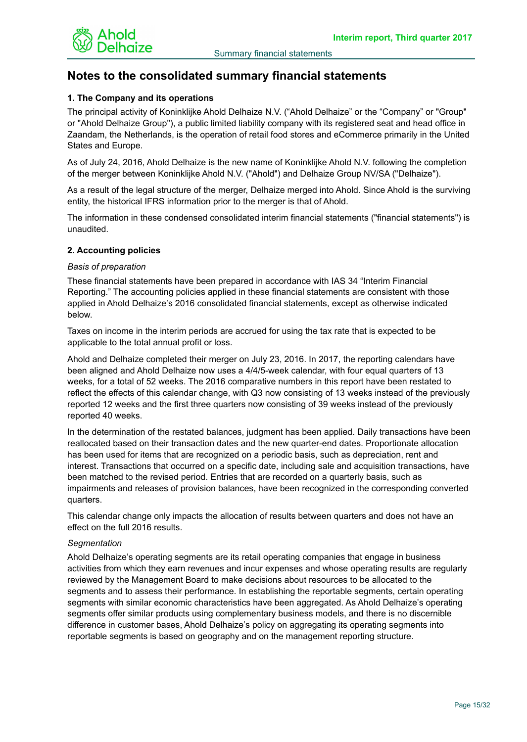

# **Notes to the consolidated summary financial statements**

# **1. The Company and its operations**

The principal activity of Koninklijke Ahold Delhaize N.V. ("Ahold Delhaize" or the "Company" or "Group" or "Ahold Delhaize Group"), a public limited liability company with its registered seat and head office in Zaandam, the Netherlands, is the operation of retail food stores and eCommerce primarily in the United States and Europe.

As of July 24, 2016, Ahold Delhaize is the new name of Koninklijke Ahold N.V. following the completion of the merger between Koninklijke Ahold N.V. ("Ahold") and Delhaize Group NV/SA ("Delhaize").

As a result of the legal structure of the merger, Delhaize merged into Ahold. Since Ahold is the surviving entity, the historical IFRS information prior to the merger is that of Ahold.

The information in these condensed consolidated interim financial statements ("financial statements") is unaudited.

# **2. Accounting policies**

#### *Basis of preparation*

These financial statements have been prepared in accordance with IAS 34 "Interim Financial Reporting." The accounting policies applied in these financial statements are consistent with those applied in Ahold Delhaize's 2016 consolidated financial statements, except as otherwise indicated below.

Taxes on income in the interim periods are accrued for using the tax rate that is expected to be applicable to the total annual profit or loss.

Ahold and Delhaize completed their merger on July 23, 2016. In 2017, the reporting calendars have been aligned and Ahold Delhaize now uses a 4/4/5-week calendar, with four equal quarters of 13 weeks, for a total of 52 weeks. The 2016 comparative numbers in this report have been restated to reflect the effects of this calendar change, with Q3 now consisting of 13 weeks instead of the previously reported 12 weeks and the first three quarters now consisting of 39 weeks instead of the previously reported 40 weeks.

In the determination of the restated balances, judgment has been applied. Daily transactions have been reallocated based on their transaction dates and the new quarter-end dates. Proportionate allocation has been used for items that are recognized on a periodic basis, such as depreciation, rent and interest. Transactions that occurred on a specific date, including sale and acquisition transactions, have been matched to the revised period. Entries that are recorded on a quarterly basis, such as impairments and releases of provision balances, have been recognized in the corresponding converted quarters.

This calendar change only impacts the allocation of results between quarters and does not have an effect on the full 2016 results.

# *Segmentation*

Ahold Delhaize's operating segments are its retail operating companies that engage in business activities from which they earn revenues and incur expenses and whose operating results are regularly reviewed by the Management Board to make decisions about resources to be allocated to the segments and to assess their performance. In establishing the reportable segments, certain operating segments with similar economic characteristics have been aggregated. As Ahold Delhaize's operating segments offer similar products using complementary business models, and there is no discernible difference in customer bases, Ahold Delhaize's policy on aggregating its operating segments into reportable segments is based on geography and on the management reporting structure.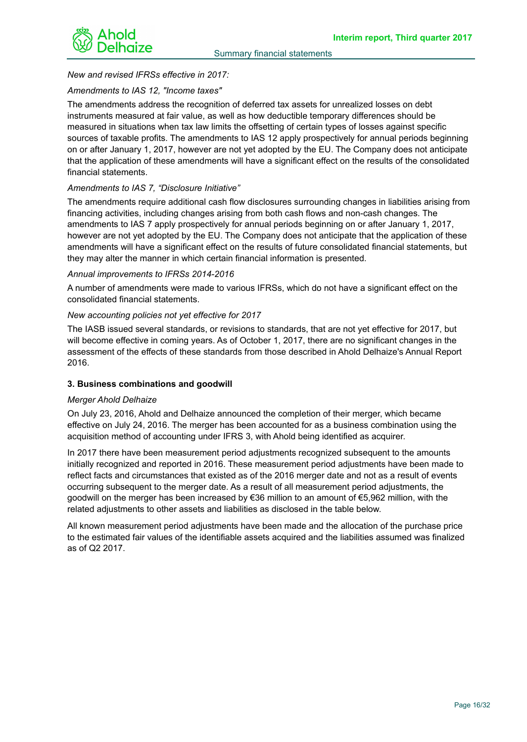

# *New and revised IFRSs effective in 2017:*

## *Amendments to IAS 12, "Income taxes"*

The amendments address the recognition of deferred tax assets for unrealized losses on debt instruments measured at fair value, as well as how deductible temporary differences should be measured in situations when tax law limits the offsetting of certain types of losses against specific sources of taxable profits. The amendments to IAS 12 apply prospectively for annual periods beginning on or after January 1, 2017, however are not yet adopted by the EU. The Company does not anticipate that the application of these amendments will have a significant effect on the results of the consolidated financial statements.

# *Amendments to IAS 7, "Disclosure Initiative"*

The amendments require additional cash flow disclosures surrounding changes in liabilities arising from financing activities, including changes arising from both cash flows and non-cash changes. The amendments to IAS 7 apply prospectively for annual periods beginning on or after January 1, 2017, however are not yet adopted by the EU. The Company does not anticipate that the application of these amendments will have a significant effect on the results of future consolidated financial statements, but they may alter the manner in which certain financial information is presented.

#### *Annual improvements to IFRSs 2014-2016*

A number of amendments were made to various IFRSs, which do not have a significant effect on the consolidated financial statements.

#### *New accounting policies not yet effective for 2017*

The IASB issued several standards, or revisions to standards, that are not yet effective for 2017, but will become effective in coming years. As of October 1, 2017, there are no significant changes in the assessment of the effects of these standards from those described in Ahold Delhaize's Annual Report 2016.

# **3. Business combinations and goodwill**

#### *Merger Ahold Delhaize*

On July 23, 2016, Ahold and Delhaize announced the completion of their merger, which became effective on July 24, 2016. The merger has been accounted for as a business combination using the acquisition method of accounting under IFRS 3, with Ahold being identified as acquirer.

In 2017 there have been measurement period adjustments recognized subsequent to the amounts initially recognized and reported in 2016. These measurement period adjustments have been made to reflect facts and circumstances that existed as of the 2016 merger date and not as a result of events occurring subsequent to the merger date. As a result of all measurement period adjustments, the goodwill on the merger has been increased by €36 million to an amount of €5,962 million, with the related adjustments to other assets and liabilities as disclosed in the table below.

All known measurement period adjustments have been made and the allocation of the purchase price to the estimated fair values of the identifiable assets acquired and the liabilities assumed was finalized as of Q2 2017.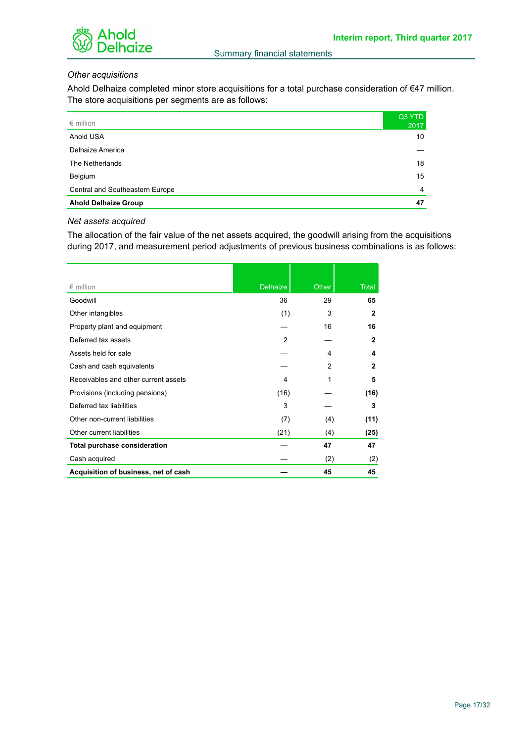



# *Other acquisitions*

Ahold Delhaize completed minor store acquisitions for a total purchase consideration of €47 million. The store acquisitions per segments are as follows:

| $\epsilon$ million              | Q3 YTD<br>2017  |
|---------------------------------|-----------------|
| Ahold USA                       | 10 <sup>°</sup> |
| Delhaize America                |                 |
| The Netherlands                 | 18              |
| Belgium                         | 15              |
| Central and Southeastern Europe | $\overline{4}$  |
| <b>Ahold Delhaize Group</b>     | 47              |

#### *Net assets acquired*

The allocation of the fair value of the net assets acquired, the goodwill arising from the acquisitions during 2017, and measurement period adjustments of previous business combinations is as follows:

| $\epsilon$ million                   | <b>Delhaize</b> | Other | <b>Total</b> |
|--------------------------------------|-----------------|-------|--------------|
| Goodwill                             | 36              | 29    | 65           |
| Other intangibles                    | (1)             | 3     | $\mathbf{2}$ |
| Property plant and equipment         |                 | 16    | 16           |
| Deferred tax assets                  | $\overline{2}$  |       | $\mathbf{2}$ |
| Assets held for sale                 |                 | 4     | 4            |
| Cash and cash equivalents            |                 | 2     | $\mathbf{2}$ |
| Receivables and other current assets | 4               | 1     | 5            |
| Provisions (including pensions)      | (16)            |       | (16)         |
| Deferred tax liabilities             | 3               |       | 3            |
| Other non-current liabilities        | (7)             | (4)   | (11)         |
| Other current liabilities            | (21)            | (4)   | (25)         |
| <b>Total purchase consideration</b>  |                 | 47    | 47           |
| Cash acquired                        |                 | (2)   | (2)          |
| Acquisition of business, net of cash |                 | 45    | 45           |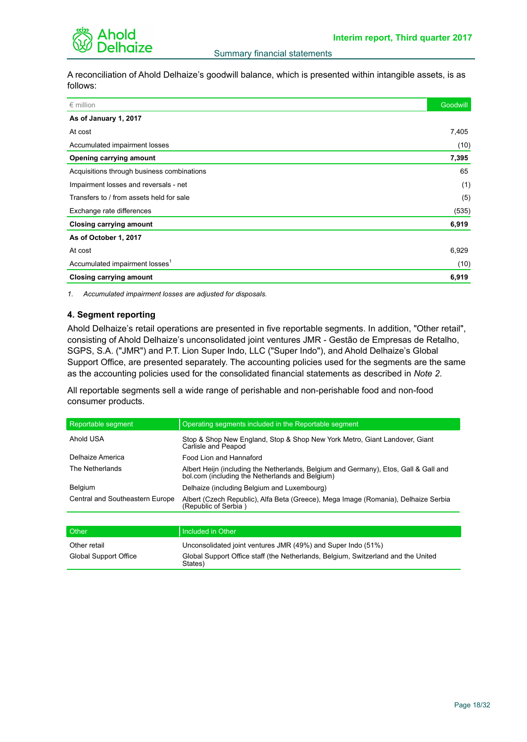

A reconciliation of Ahold Delhaize's goodwill balance, which is presented within intangible assets, is as follows:

| $\epsilon$ million                         | <b>Goodwill</b> |
|--------------------------------------------|-----------------|
| As of January 1, 2017                      |                 |
| At cost                                    | 7,405           |
| Accumulated impairment losses              | (10)            |
| Opening carrying amount                    | 7,395           |
| Acquisitions through business combinations | 65              |
| Impairment losses and reversals - net      | (1)             |
| Transfers to / from assets held for sale   | (5)             |
| Exchange rate differences                  | (535)           |
| <b>Closing carrying amount</b>             | 6,919           |
| As of October 1, 2017                      |                 |
| At cost                                    | 6,929           |
| Accumulated impairment losses <sup>1</sup> | (10)            |
| <b>Closing carrying amount</b>             | 6,919           |

*1. Accumulated impairment losses are adjusted for disposals.*

#### **4. Segment reporting**

Ahold Delhaize's retail operations are presented in five reportable segments. In addition, "Other retail", consisting of Ahold Delhaize's unconsolidated joint ventures JMR - Gestão de Empresas de Retalho, SGPS, S.A. ("JMR") and P.T. Lion Super Indo, LLC ("Super Indo"), and Ahold Delhaize's Global Support Office, are presented separately. The accounting policies used for the segments are the same as the accounting policies used for the consolidated financial statements as described in *Note 2*.

All reportable segments sell a wide range of perishable and non-perishable food and non-food consumer products.

| Reportable segment              | Operating segments included in the Reportable segment                                                                                   |
|---------------------------------|-----------------------------------------------------------------------------------------------------------------------------------------|
| Ahold USA                       | Stop & Shop New England, Stop & Shop New York Metro, Giant Landover, Giant<br>Carlisle and Peapod                                       |
| Delhaize America                | Food Lion and Hannaford                                                                                                                 |
| The Netherlands                 | Albert Heijn (including the Netherlands, Belgium and Germany), Etos, Gall & Gall and<br>bol.com (including the Netherlands and Belgium) |
| <b>Belgium</b>                  | Delhaize (including Belgium and Luxembourg)                                                                                             |
| Central and Southeastern Europe | Albert (Czech Republic), Alfa Beta (Greece), Mega Image (Romania), Delhaize Serbia<br>(Republic of Serbia)                              |
|                                 |                                                                                                                                         |
| Other                           | Included in Other                                                                                                                       |
| Q <sub>thor rotail</sub>        | $\Box$ Inconsolidated joint ventures $\Box$ MD $(100/2)$ and Cuner Inde $(510/2)$                                                       |

| Other retail          | Unconsolidated joint ventures JMR (49%) and Super Indo (51%)                                 |
|-----------------------|----------------------------------------------------------------------------------------------|
| Global Support Office | Global Support Office staff (the Netherlands, Belgium, Switzerland and the United<br>States) |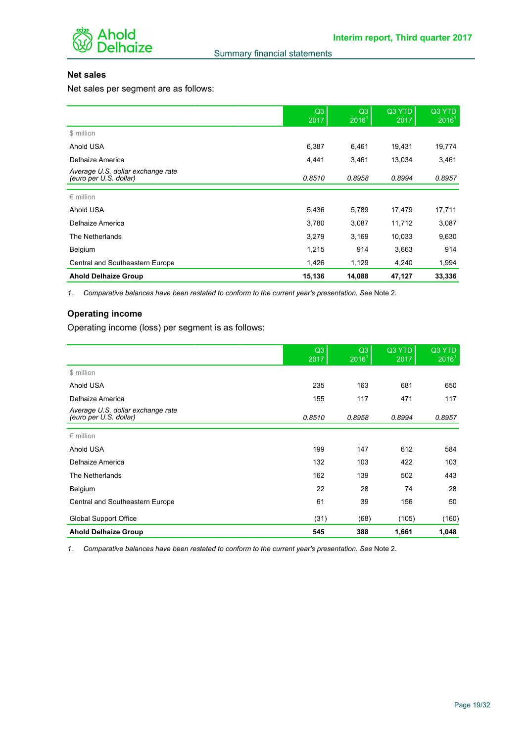

# **Net sales**

Net sales per segment are as follows:

|                                                             | Q3<br>2017 | Q <sub>3</sub><br>2016 <sup>1</sup> | Q3 YTD<br>2017 | Q3 YTD<br>2016 <sup>1</sup> |
|-------------------------------------------------------------|------------|-------------------------------------|----------------|-----------------------------|
| \$ million                                                  |            |                                     |                |                             |
| Ahold USA                                                   | 6,387      | 6,461                               | 19,431         | 19,774                      |
| Delhaize America                                            | 4,441      | 3,461                               | 13,034         | 3,461                       |
| Average U.S. dollar exchange rate<br>(euro per U.S. dollar) | 0.8510     | 0.8958                              | 0.8994         | 0.8957                      |
| $\epsilon$ million                                          |            |                                     |                |                             |
| Ahold USA                                                   | 5,436      | 5,789                               | 17,479         | 17,711                      |
| Delhaize America                                            | 3,780      | 3,087                               | 11,712         | 3,087                       |
| The Netherlands                                             | 3,279      | 3,169                               | 10,033         | 9,630                       |
| Belgium                                                     | 1,215      | 914                                 | 3,663          | 914                         |
| Central and Southeastern Europe                             | 1,426      | 1,129                               | 4,240          | 1,994                       |
| <b>Ahold Delhaize Group</b>                                 | 15,136     | 14,088                              | 47,127         | 33,336                      |

*1. Comparative balances have been restated to conform to the current year's presentation. See* Note 2*.*

# **Operating income**

Operating income (loss) per segment is as follows:

|                                                             | Q3<br>2017 | Q3<br>2016 <sup>1</sup> | Q3 YTD<br>2017 | Q3 YTD<br>2016 <sup>1</sup> |
|-------------------------------------------------------------|------------|-------------------------|----------------|-----------------------------|
| \$ million                                                  |            |                         |                |                             |
| Ahold USA                                                   | 235        | 163                     | 681            | 650                         |
| Delhaize America                                            | 155        | 117                     | 471            | 117                         |
| Average U.S. dollar exchange rate<br>(euro per U.S. dollar) | 0.8510     | 0.8958                  | 0.8994         | 0.8957                      |
| $\epsilon$ million                                          |            |                         |                |                             |
| Ahold USA                                                   | 199        | 147                     | 612            | 584                         |
| Delhaize America                                            | 132        | 103                     | 422            | 103                         |
| The Netherlands                                             | 162        | 139                     | 502            | 443                         |
| Belgium                                                     | 22         | 28                      | 74             | 28                          |
| Central and Southeastern Europe                             | 61         | 39                      | 156            | 50                          |
| <b>Global Support Office</b>                                | (31)       | (68)                    | (105)          | (160)                       |
| <b>Ahold Delhaize Group</b>                                 | 545        | 388                     | 1,661          | 1,048                       |

*1. Comparative balances have been restated to conform to the current year's presentation. See* Note 2*.*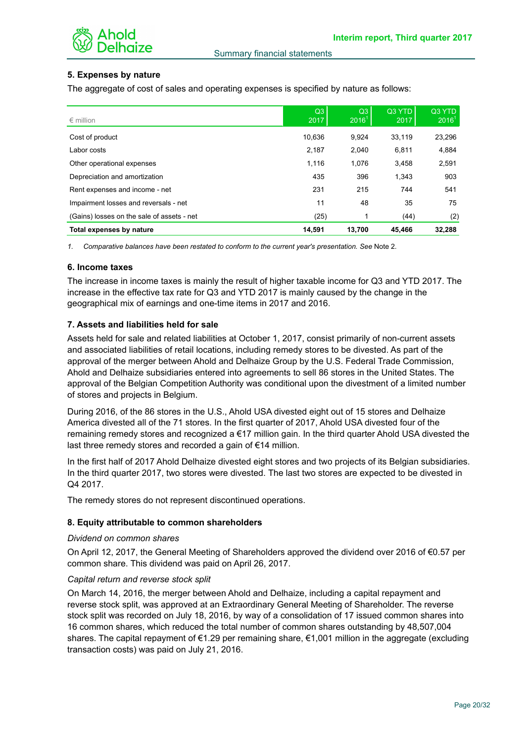

# **5. Expenses by nature**

The aggregate of cost of sales and operating expenses is specified by nature as follows:

| $\epsilon$ million                         | Q3<br>2017 | Q <sub>3</sub><br>$2016^{\degree}$ | Q3 YTD<br>2017 | Q3 YTD<br>2016 <sup>1</sup> |
|--------------------------------------------|------------|------------------------------------|----------------|-----------------------------|
| Cost of product                            | 10.636     | 9.924                              | 33.119         | 23,296                      |
| Labor costs                                | 2,187      | 2,040                              | 6.811          | 4,884                       |
| Other operational expenses                 | 1,116      | 1.076                              | 3,458          | 2,591                       |
| Depreciation and amortization              | 435        | 396                                | 1.343          | 903                         |
| Rent expenses and income - net             | 231        | 215                                | 744            | 541                         |
| Impairment losses and reversals - net      | 11         | 48                                 | 35             | 75                          |
| (Gains) losses on the sale of assets - net | (25)       |                                    | (44)           | (2)                         |
| Total expenses by nature                   | 14.591     | 13.700                             | 45.466         | 32.288                      |

*1. Comparative balances have been restated to conform to the current year's presentation. See* Note 2*.*

#### **6. Income taxes**

The increase in income taxes is mainly the result of higher taxable income for Q3 and YTD 2017. The increase in the effective tax rate for Q3 and YTD 2017 is mainly caused by the change in the geographical mix of earnings and one-time items in 2017 and 2016.

#### **7. Assets and liabilities held for sale**

Assets held for sale and related liabilities at October 1, 2017, consist primarily of non-current assets and associated liabilities of retail locations, including remedy stores to be divested. As part of the approval of the merger between Ahold and Delhaize Group by the U.S. Federal Trade Commission, Ahold and Delhaize subsidiaries entered into agreements to sell 86 stores in the United States. The approval of the Belgian Competition Authority was conditional upon the divestment of a limited number of stores and projects in Belgium.

During 2016, of the 86 stores in the U.S., Ahold USA divested eight out of 15 stores and Delhaize America divested all of the 71 stores. In the first quarter of 2017, Ahold USA divested four of the remaining remedy stores and recognized a €17 million gain. In the third quarter Ahold USA divested the last three remedy stores and recorded a gain of €14 million.

In the first half of 2017 Ahold Delhaize divested eight stores and two projects of its Belgian subsidiaries. In the third quarter 2017, two stores were divested. The last two stores are expected to be divested in Q4 2017.

The remedy stores do not represent discontinued operations.

#### **8. Equity attributable to common shareholders**

#### *Dividend on common shares*

On April 12, 2017, the General Meeting of Shareholders approved the dividend over 2016 of €0.57 per common share. This dividend was paid on April 26, 2017.

#### *Capital return and reverse stock split*

On March 14, 2016, the merger between Ahold and Delhaize, including a capital repayment and reverse stock split, was approved at an Extraordinary General Meeting of Shareholder. The reverse stock split was recorded on July 18, 2016, by way of a consolidation of 17 issued common shares into 16 common shares, which reduced the total number of common shares outstanding by 48,507,004 shares. The capital repayment of €1.29 per remaining share, €1,001 million in the aggregate (excluding transaction costs) was paid on July 21, 2016.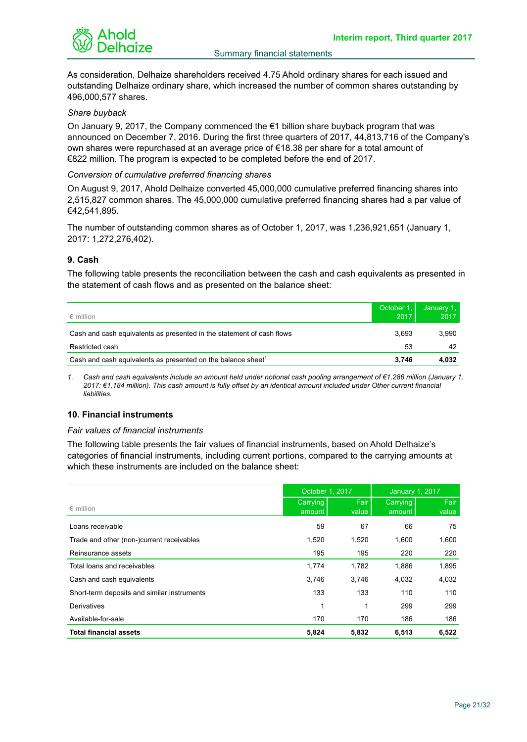

As consideration, Delhaize shareholders received 4.75 Ahold ordinary shares for each issued and outstanding Delhaize ordinary share, which increased the number of common shares outstanding by 496,000,577 shares.

#### *Share buyback*

On January 9, 2017, the Company commenced the  $\epsilon$ 1 billion share buyback program that was announced on December 7, 2016. During the first three quarters of 2017, 44,813,716 of the Company's own shares were repurchased at an average price of €18.38 per share for a total amount of €822 million. The program is expected to be completed before the end of 2017.

#### *Conversion of cumulative preferred financing shares*

On August 9, 2017, Ahold Delhaize converted 45,000,000 cumulative preferred financing shares into 2,515,827 common shares. The 45,000,000 cumulative preferred financing shares had a par value of €42,541,895.

The number of outstanding common shares as of October 1, 2017, was 1,236,921,651 (January 1, 2017: 1,272,276,402).

#### **9. Cash**

The following table presents the reconciliation between the cash and cash equivalents as presented in the statement of cash flows and as presented on the balance sheet:

| $\epsilon$ million                                                       | October 1.<br>2017 | January 1,<br>2017 |
|--------------------------------------------------------------------------|--------------------|--------------------|
| Cash and cash equivalents as presented in the statement of cash flows    | 3.693              | 3.990              |
| Restricted cash                                                          | 53                 | 42                 |
| Cash and cash equivalents as presented on the balance sheet <sup>1</sup> | 3.746              | 4.032              |

*1. Cash and cash equivalents include an amount held under notional cash pooling arrangement of €1,286 million (January 1, 2017: €1,184 million). This cash amount is fully offset by an identical amount included under Other current financial liabilities.*

# **10. Financial instruments**

#### *Fair values of financial instruments*

The following table presents the fair values of financial instruments, based on Ahold Delhaize's categories of financial instruments, including current portions, compared to the carrying amounts at which these instruments are included on the balance sheet:

|                                             | October 1, 2017    |               | <b>January 1, 2017</b> |               |
|---------------------------------------------|--------------------|---------------|------------------------|---------------|
| $\epsilon$ million                          | Carrying<br>amount | Fair<br>value | Carrying<br>amount     | Fair<br>value |
| Loans receivable                            | 59                 | 67            | 66                     | 75            |
| Trade and other (non-)current receivables   | 1,520              | 1,520         | 1.600                  | 1,600         |
| Reinsurance assets                          | 195                | 195           | 220                    | 220           |
| Total loans and receivables                 | 1,774              | 1,782         | 1,886                  | 1,895         |
| Cash and cash equivalents                   | 3.746              | 3.746         | 4,032                  | 4,032         |
| Short-term deposits and similar instruments | 133                | 133           | 110                    | 110           |
| Derivatives                                 | 1                  | 1             | 299                    | 299           |
| Available-for-sale                          | 170                | 170           | 186                    | 186           |
| <b>Total financial assets</b>               | 5,824              | 5,832         | 6,513                  | 6,522         |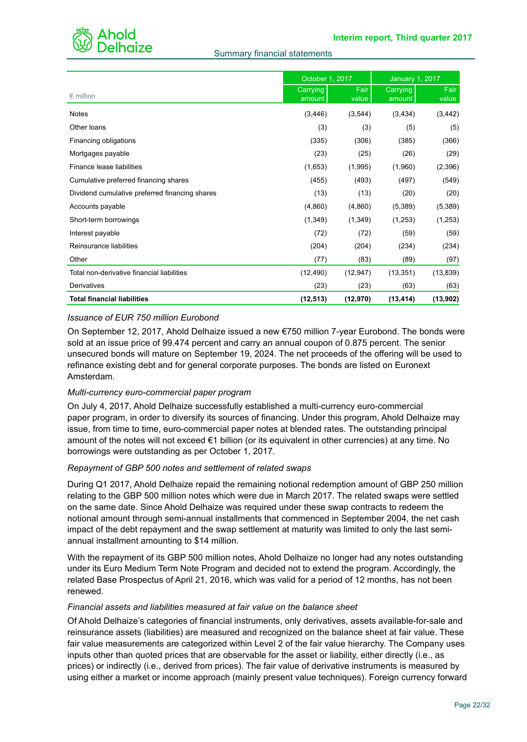

### Summary financial statements

|                                                | October 1, 2017    |                      | <b>January 1, 2017</b> |               |  |
|------------------------------------------------|--------------------|----------------------|------------------------|---------------|--|
| $\epsilon$ million                             | Carrying<br>amount | <b>Fair</b><br>value | Carrying<br>amount     | Fair<br>value |  |
| <b>Notes</b>                                   | (3, 446)           | (3, 544)             | (3, 434)               | (3, 442)      |  |
| Other loans                                    | (3)                | (3)                  | (5)                    | (5)           |  |
| Financing obligations                          | (335)              | (306)                | (385)                  | (366)         |  |
| Mortgages payable                              | (23)               | (25)                 | (26)                   | (29)          |  |
| Finance lease liabilities                      | (1,653)            | (1,995)              | (1,960)                | (2,396)       |  |
| Cumulative preferred financing shares          | (455)              | (493)                | (497)                  | (549)         |  |
| Dividend cumulative preferred financing shares | (13)               | (13)                 | (20)                   | (20)          |  |
| Accounts payable                               | (4,860)            | (4,860)              | (5,389)                | (5,389)       |  |
| Short-term borrowings                          | (1, 349)           | (1,349)              | (1,253)                | (1,253)       |  |
| Interest payable                               | (72)               | (72)                 | (59)                   | (59)          |  |
| Reinsurance liabilities                        | (204)              | (204)                | (234)                  | (234)         |  |
| Other                                          | (77)               | (83)                 | (89)                   | (97)          |  |
| Total non-derivative financial liabilities     | (12, 490)          | (12, 947)            | (13, 351)              | (13, 839)     |  |
| Derivatives                                    | (23)               | (23)                 | (63)                   | (63)          |  |
| <b>Total financial liabilities</b>             | (12, 513)          | (12, 970)            | (13, 414)              | (13, 902)     |  |

# *Issuance of EUR 750 million Eurobond*

On September 12, 2017, Ahold Delhaize issued a new €750 million 7-year Eurobond. The bonds were sold at an issue price of 99.474 percent and carry an annual coupon of 0.875 percent. The senior unsecured bonds will mature on September 19, 2024. The net proceeds of the offering will be used to refinance existing debt and for general corporate purposes. The bonds are listed on Euronext Amsterdam.

# *Multi-currency euro-commercial paper program*

On July 4, 2017, Ahold Delhaize successfully established a multi-currency euro-commercial paper program, in order to diversify its sources of financing. Under this program, Ahold Delhaize may issue, from time to time, euro-commercial paper notes at blended rates. The outstanding principal amount of the notes will not exceed  $\epsilon$ 1 billion (or its equivalent in other currencies) at any time. No borrowings were outstanding as per October 1, 2017.

# *Repayment of GBP 500 notes and settlement of related swaps*

During Q1 2017, Ahold Delhaize repaid the remaining notional redemption amount of GBP 250 million relating to the GBP 500 million notes which were due in March 2017. The related swaps were settled on the same date. Since Ahold Delhaize was required under these swap contracts to redeem the notional amount through semi-annual installments that commenced in September 2004, the net cash impact of the debt repayment and the swap settlement at maturity was limited to only the last semiannual installment amounting to \$14 million.

With the repayment of its GBP 500 million notes, Ahold Delhaize no longer had any notes outstanding under its Euro Medium Term Note Program and decided not to extend the program. Accordingly, the related Base Prospectus of April 21, 2016, which was valid for a period of 12 months, has not been renewed.

# *Financial assets and liabilities measured at fair value on the balance sheet*

Of Ahold Delhaize's categories of financial instruments, only derivatives, assets available-for-sale and reinsurance assets (liabilities) are measured and recognized on the balance sheet at fair value. These fair value measurements are categorized within Level 2 of the fair value hierarchy. The Company uses inputs other than quoted prices that are observable for the asset or liability, either directly (i.e., as prices) or indirectly (i.e., derived from prices). The fair value of derivative instruments is measured by using either a market or income approach (mainly present value techniques). Foreign currency forward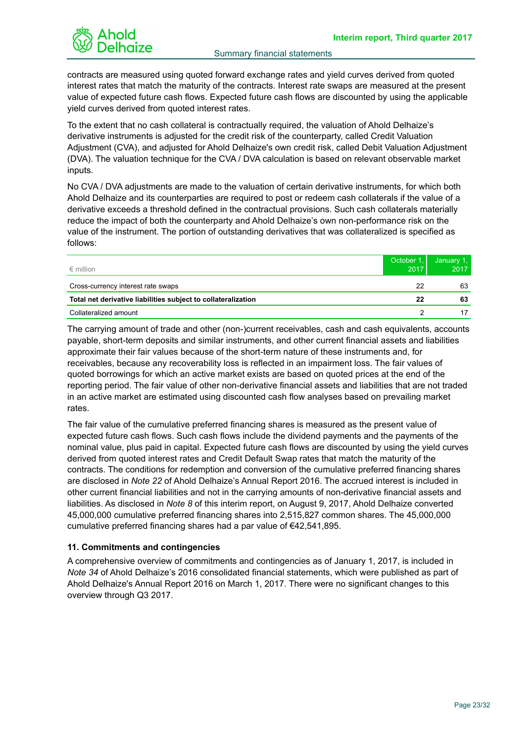

contracts are measured using quoted forward exchange rates and yield curves derived from quoted interest rates that match the maturity of the contracts. Interest rate swaps are measured at the present value of expected future cash flows. Expected future cash flows are discounted by using the applicable yield curves derived from quoted interest rates.

To the extent that no cash collateral is contractually required, the valuation of Ahold Delhaize's derivative instruments is adjusted for the credit risk of the counterparty, called Credit Valuation Adjustment (CVA), and adjusted for Ahold Delhaize's own credit risk, called Debit Valuation Adjustment (DVA). The valuation technique for the CVA / DVA calculation is based on relevant observable market inputs.

No CVA / DVA adjustments are made to the valuation of certain derivative instruments, for which both Ahold Delhaize and its counterparties are required to post or redeem cash collaterals if the value of a derivative exceeds a threshold defined in the contractual provisions. Such cash collaterals materially reduce the impact of both the counterparty and Ahold Delhaize's own non-performance risk on the value of the instrument. The portion of outstanding derivatives that was collateralized is specified as follows:

| $\epsilon$ million                                            | October 1<br>2017 | January 1,<br>2017 |
|---------------------------------------------------------------|-------------------|--------------------|
| Cross-currency interest rate swaps                            | 22                | 63                 |
| Total net derivative liabilities subject to collateralization | 22                | 63                 |
| Collateralized amount                                         |                   |                    |

The carrying amount of trade and other (non-)current receivables, cash and cash equivalents, accounts payable, short-term deposits and similar instruments, and other current financial assets and liabilities approximate their fair values because of the short-term nature of these instruments and, for receivables, because any recoverability loss is reflected in an impairment loss. The fair values of quoted borrowings for which an active market exists are based on quoted prices at the end of the reporting period. The fair value of other non-derivative financial assets and liabilities that are not traded in an active market are estimated using discounted cash flow analyses based on prevailing market rates.

The fair value of the cumulative preferred financing shares is measured as the present value of expected future cash flows. Such cash flows include the dividend payments and the payments of the nominal value, plus paid in capital. Expected future cash flows are discounted by using the yield curves derived from quoted interest rates and Credit Default Swap rates that match the maturity of the contracts. The conditions for redemption and conversion of the cumulative preferred financing shares are disclosed in *Note 22* of Ahold Delhaize's Annual Report 2016. The accrued interest is included in other current financial liabilities and not in the carrying amounts of non-derivative financial assets and liabilities. As disclosed in *Note 8* of this interim report, on August 9, 2017, Ahold Delhaize converted 45,000,000 cumulative preferred financing shares into 2,515,827 common shares. The 45,000,000 cumulative preferred financing shares had a par value of €42,541,895.

# **11. Commitments and contingencies**

A comprehensive overview of commitments and contingencies as of January 1, 2017, is included in *Note 34* of Ahold Delhaize's 2016 consolidated financial statements, which were published as part of Ahold Delhaize's Annual Report 2016 on March 1, 2017. There were no significant changes to this overview through Q3 2017.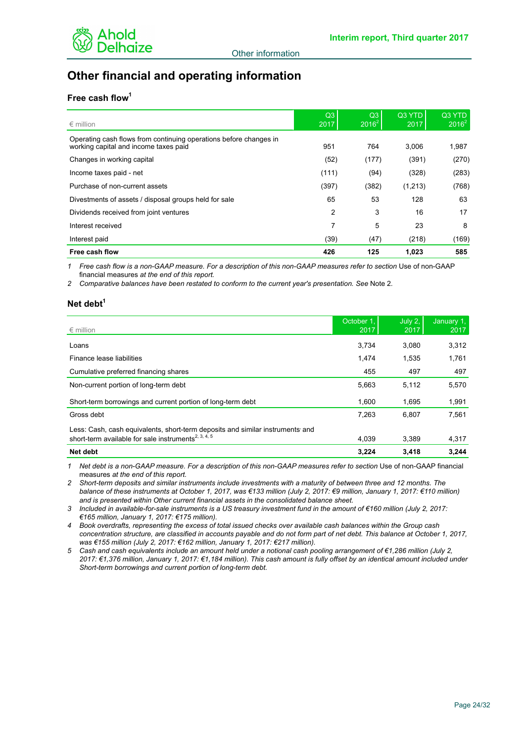

# **Other financial and operating information**

# **Free cash flow<sup>1</sup>**

| $\epsilon$ million                                                                                         | Q3<br>2017 | Q3<br>$2016^2$ | Q3 YTD<br>2017 | Q3 YTD<br>$2016^2$ |
|------------------------------------------------------------------------------------------------------------|------------|----------------|----------------|--------------------|
| Operating cash flows from continuing operations before changes in<br>working capital and income taxes paid | 951        | 764            | 3.006          | 1,987              |
| Changes in working capital                                                                                 | (52)       | (177)          | (391)          | (270)              |
| Income taxes paid - net                                                                                    | (111)      | (94)           | (328)          | (283)              |
| Purchase of non-current assets                                                                             | (397)      | (382)          | (1,213)        | (768)              |
| Divestments of assets / disposal groups held for sale                                                      | 65         | 53             | 128            | 63                 |
| Dividends received from joint ventures                                                                     | 2          | 3              | 16             | 17                 |
| Interest received                                                                                          | 7          | 5              | 23             | 8                  |
| Interest paid                                                                                              | (39)       | (47)           | (218)          | (169)              |
| Free cash flow                                                                                             | 426        | 125            | 1.023          | 585                |

1 Free cash flow is a non-GAAP measure. For a description of this non-GAAP measures refer to section Use of non-GAAP financial measures *at the end of this report.*

*2 Comparative balances have been restated to conform to the current year's presentation. See* Note 2*.*

### **Net debt<sup>1</sup>**

| $\epsilon$ million                                                                                                                               | October 1,<br>2017 | July 2.<br>2017 | January 1,<br>2017 |
|--------------------------------------------------------------------------------------------------------------------------------------------------|--------------------|-----------------|--------------------|
| Loans                                                                                                                                            | 3.734              | 3.080           | 3,312              |
| Finance lease liabilities                                                                                                                        | 1.474              | 1.535           | 1,761              |
| Cumulative preferred financing shares                                                                                                            | 455                | 497             | 497                |
| Non-current portion of long-term debt                                                                                                            | 5.663              | 5.112           | 5,570              |
| Short-term borrowings and current portion of long-term debt                                                                                      | 1.600              | 1,695           | 1,991              |
| Gross debt                                                                                                                                       | 7.263              | 6.807           | 7,561              |
| Less: Cash, cash equivalents, short-term deposits and similar instruments and<br>short-term available for sale instruments <sup>2, 3, 4, 5</sup> | 4.039              | 3.389           | 4,317              |
| Net debt                                                                                                                                         | 3.224              | 3.418           | 3.244              |

*1 Net debt is a non-GAAP measure. For a description of this non-GAAP measures refer to section* Use of non-GAAP financial measures *at the end of this report.*

*2 Short-term deposits and similar instruments include investments with a maturity of between three and 12 months. The balance of these instruments at October 1, 2017, was €133 million (July 2, 2017: €9 million, January 1, 2017: €110 million) and is presented within Other current financial assets in the consolidated balance sheet.*

*3 Included in available-for-sale instruments is a US treasury investment fund in the amount of €160 million (July 2, 2017: €165 million, January 1, 2017: €175 million).*

*4 Book overdrafts, representing the excess of total issued checks over available cash balances within the Group cash concentration structure, are classified in accounts payable and do not form part of net debt. This balance at October 1, 2017, was €155 million (July 2, 2017: €162 million, January 1, 2017: €217 million).*

*5 Cash and cash equivalents include an amount held under a notional cash pooling arrangement of €1,286 million (July 2, 2017: €1,376 million, January 1, 2017: €1,184 million). This cash amount is fully offset by an identical amount included under Short-term borrowings and current portion of long-term debt.*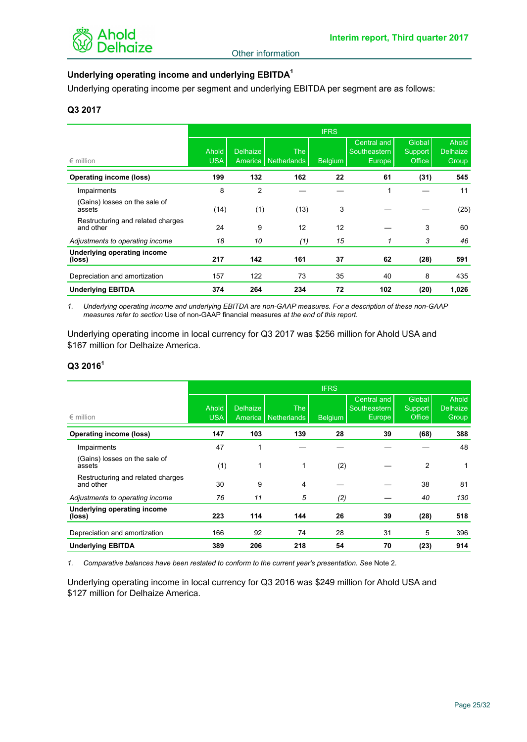

# **Underlying operating income and underlying EBITDA<sup>1</sup>**

Underlying operating income per segment and underlying EBITDA per segment are as follows:

# **Q3 2017**

|                                                | <b>IFRS</b>         |                            |                             |                |                                                    |                             |                                          |
|------------------------------------------------|---------------------|----------------------------|-----------------------------|----------------|----------------------------------------------------|-----------------------------|------------------------------------------|
| $\epsilon$ million                             | Ahold<br><b>USA</b> | <b>Delhaize</b><br>America | The I<br><b>Netherlands</b> | <b>Belgium</b> | Central and<br>Southeastern<br>Europe <sup>1</sup> | Global<br>Support<br>Office | <b>Ahold</b><br><b>Delhaize</b><br>Group |
| <b>Operating income (loss)</b>                 | 199                 | 132                        | 162                         | 22             | 61                                                 | (31)                        | 545                                      |
| Impairments                                    | 8                   | $\overline{2}$             |                             |                | 1                                                  |                             | 11                                       |
| (Gains) losses on the sale of<br>assets        | (14)                | (1)                        | (13)                        | 3              |                                                    |                             | (25)                                     |
| Restructuring and related charges<br>and other | 24                  | 9                          | 12                          | 12             |                                                    | 3                           | 60                                       |
| Adjustments to operating income                | 18                  | 10                         | (1)                         | 15             |                                                    | 3                           | 46                                       |
| Underlying operating income<br>(loss)          | 217                 | 142                        | 161                         | 37             | 62                                                 | (28)                        | 591                                      |
| Depreciation and amortization                  | 157                 | 122                        | 73                          | 35             | 40                                                 | 8                           | 435                                      |
| <b>Underlying EBITDA</b>                       | 374                 | 264                        | 234                         | 72             | 102                                                | (20)                        | 1,026                                    |

*1. Underlying operating income and underlying EBITDA are non-GAAP measures. For a description of these non-GAAP measures refer to section* Use of non-GAAP financial measures *at the end of this report.*

Underlying operating income in local currency for Q3 2017 was \$256 million for Ahold USA and \$167 million for Delhaize America.

# **Q3 2016<sup>1</sup>**

|                                                | <b>IFRS</b>         |                            |                           |                |                                                     |                                    |                                   |
|------------------------------------------------|---------------------|----------------------------|---------------------------|----------------|-----------------------------------------------------|------------------------------------|-----------------------------------|
| $\epsilon$ million                             | Ahold<br><b>USA</b> | <b>Delhaize</b><br>America | <b>The</b><br>Netherlands | <b>Belgium</b> | <b>Central and</b><br>Southeastern<br><b>Europe</b> | Global<br><b>Support</b><br>Office | Ahold<br><b>Delhaize</b><br>Group |
| <b>Operating income (loss)</b>                 | 147                 | 103                        | 139                       | 28             | 39                                                  | (68)                               | 388                               |
| Impairments                                    | 47                  | 1                          |                           |                |                                                     |                                    | 48                                |
| (Gains) losses on the sale of<br>assets        | (1)                 | 1                          | 1                         | (2)            |                                                     | 2                                  | 1                                 |
| Restructuring and related charges<br>and other | 30                  | 9                          | 4                         |                |                                                     | 38                                 | 81                                |
| Adjustments to operating income                | 76                  | 11                         | 5                         | (2)            |                                                     | 40                                 | 130                               |
| Underlying operating income<br>(loss)          | 223                 | 114                        | 144                       | 26             | 39                                                  | (28)                               | 518                               |
| Depreciation and amortization                  | 166                 | 92                         | 74                        | 28             | 31                                                  | 5                                  | 396                               |
| <b>Underlying EBITDA</b>                       | 389                 | 206                        | 218                       | 54             | 70                                                  | (23)                               | 914                               |

*1. Comparative balances have been restated to conform to the current year's presentation. See* Note 2*.*

Underlying operating income in local currency for Q3 2016 was \$249 million for Ahold USA and \$127 million for Delhaize America.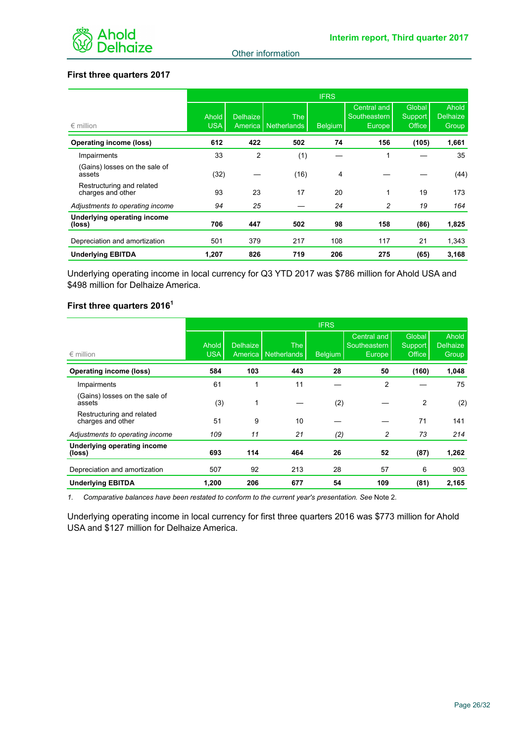

# **First three quarters 2017**

|                                                | <b>IFRS</b>         |                 |                                     |         |                                                    |                             |                                   |
|------------------------------------------------|---------------------|-----------------|-------------------------------------|---------|----------------------------------------------------|-----------------------------|-----------------------------------|
| $\epsilon$ million                             | Ahold<br><b>USA</b> | <b>Delhaize</b> | <b>The</b><br>America   Netherlands | Belgium | Central and<br>Southeastern<br>Europe <sup>1</sup> | Global<br>Support<br>Office | Ahold<br><b>Delhaize</b><br>Group |
| <b>Operating income (loss)</b>                 | 612                 | 422             | 502                                 | 74      | 156                                                | (105)                       | 1,661                             |
| Impairments                                    | 33                  | 2               | (1)                                 |         | 1                                                  |                             | 35                                |
| (Gains) losses on the sale of<br>assets        | (32)                |                 | (16)                                | 4       |                                                    |                             | (44)                              |
| Restructuring and related<br>charges and other | 93                  | 23              | 17                                  | 20      | 1                                                  | 19                          | 173                               |
| Adjustments to operating income                | 94                  | 25              |                                     | 24      | 2                                                  | 19                          | 164                               |
| Underlying operating income<br>(loss)          | 706                 | 447             | 502                                 | 98      | 158                                                | (86)                        | 1,825                             |
| Depreciation and amortization                  | 501                 | 379             | 217                                 | 108     | 117                                                | 21                          | 1,343                             |
| <b>Underlying EBITDA</b>                       | 1,207               | 826             | 719                                 | 206     | 275                                                | (65)                        | 3,168                             |

Underlying operating income in local currency for Q3 YTD 2017 was \$786 million for Ahold USA and \$498 million for Delhaize America.

# **First three quarters 2016<sup>1</sup>**

|                                                |                     |                            |                    | <b>IFRS</b>    |                                                    |                             |                                   |
|------------------------------------------------|---------------------|----------------------------|--------------------|----------------|----------------------------------------------------|-----------------------------|-----------------------------------|
| $\epsilon$ million                             | Ahold<br><b>USA</b> | <b>Delhaize</b><br>America | The<br>Netherlands | <b>Belgium</b> | Central and<br>Southeastern<br>Europe <sup>1</sup> | Global<br>Support<br>Office | Ahold<br><b>Delhaize</b><br>Group |
| <b>Operating income (loss)</b>                 | 584                 | 103                        | 443                | 28             | 50                                                 | (160)                       | 1,048                             |
| Impairments                                    | 61                  |                            | 11                 |                | $\overline{2}$                                     |                             | 75                                |
| (Gains) losses on the sale of<br>assets        | (3)                 | 1                          |                    | (2)            |                                                    | 2                           | (2)                               |
| Restructuring and related<br>charges and other | 51                  | 9                          | 10                 |                |                                                    | 71                          | 141                               |
| Adjustments to operating income                | 109                 | 11                         | 21                 | (2)            | 2                                                  | 73                          | 214                               |
| Underlying operating income<br>(loss)          | 693                 | 114                        | 464                | 26             | 52                                                 | (87)                        | 1,262                             |
| Depreciation and amortization                  | 507                 | 92                         | 213                | 28             | 57                                                 | 6                           | 903                               |
| <b>Underlying EBITDA</b>                       | 1,200               | 206                        | 677                | 54             | 109                                                | (81)                        | 2,165                             |

*1. Comparative balances have been restated to conform to the current year's presentation. See* Note 2*.*

Underlying operating income in local currency for first three quarters 2016 was \$773 million for Ahold USA and \$127 million for Delhaize America.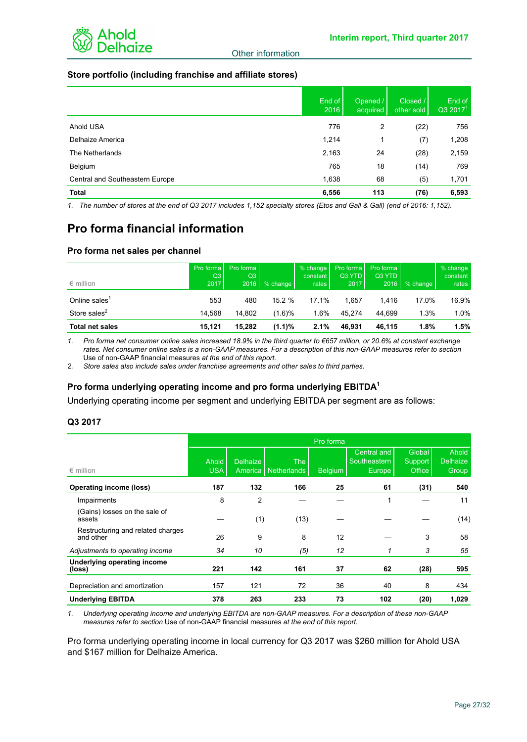

### **Store portfolio (including franchise and affiliate stores)**

|                                 | End of<br>2016 | Opened /<br>acquired | Closed /<br>other sold | End of<br>Q3 2017 <sup>1</sup> |
|---------------------------------|----------------|----------------------|------------------------|--------------------------------|
| Ahold USA                       | 776            | 2                    | (22)                   | 756                            |
| Delhaize America                | 1,214          | 1                    | (7)                    | 1,208                          |
| The Netherlands                 | 2,163          | 24                   | (28)                   | 2,159                          |
| Belgium                         | 765            | 18                   | (14)                   | 769                            |
| Central and Southeastern Europe | 1,638          | 68                   | (5)                    | 1,701                          |
| <b>Total</b>                    | 6,556          | 113                  | (76)                   | 6,593                          |

*1. The number of stores at the end of Q3 2017 includes 1,152 specialty stores (Etos and Gall & Gall) (end of 2016: 1,152).* 

# **Pro forma financial information**

## **Pro forma net sales per channel**

| $\epsilon$ million        | Pro forma<br>Q3<br>2017 | Pro forma<br>Q3<br>2016 | % change | % change<br>constant<br>rates | Pro forma<br>Q3 YTD<br>2017 | Pro forma l<br>Q3 YTD<br>2016 | % change | % change<br>constant<br>rates |
|---------------------------|-------------------------|-------------------------|----------|-------------------------------|-----------------------------|-------------------------------|----------|-------------------------------|
| Online sales <sup>1</sup> | 553                     | 480                     | 15.2%    | 17.1%                         | 1.657                       | 1.416                         | 17.0%    | 16.9%                         |
| Store sales <sup>2</sup>  | 14.568                  | 14.802                  | (1.6)%   | 1.6%                          | 45.274                      | 44.699                        | 1.3%     | $1.0\%$                       |
| <b>Total net sales</b>    | 15.121                  | 15.282                  | (1.1)%   | 2.1%                          | 46.931                      | 46.115                        | 1.8%     | 1.5%                          |

*1. Pro forma net consumer online sales increased 18.9% in the third quarter to €657 million, or 20.6% at constant exchange rates. Net consumer online sales is a non-GAAP measures. For a description of this non-GAAP measures refer to section* Use of non-GAAP financial measures *at the end of this report.*

*2. Store sales also include sales under franchise agreements and other sales to third parties.*

# **Pro forma underlying operating income and pro forma underlying EBITDA<sup>1</sup>**

Underlying operating income per segment and underlying EBITDA per segment are as follows:

#### **Q3 2017**

|                                                | Pro forma           |                            |                           |                |                                                           |                             |                                   |  |
|------------------------------------------------|---------------------|----------------------------|---------------------------|----------------|-----------------------------------------------------------|-----------------------------|-----------------------------------|--|
| $\epsilon$ million                             | Ahold<br><b>USA</b> | <b>Delhaize</b><br>America | <b>The</b><br>Netherlands | <b>Belgium</b> | <b>Central and</b><br>Southeastern<br>Europe <sup>1</sup> | Global<br>Support<br>Office | Ahold<br><b>Delhaize</b><br>Group |  |
| <b>Operating income (loss)</b>                 | 187                 | 132                        | 166                       | 25             | 61                                                        | (31)                        | 540                               |  |
| Impairments                                    | 8                   | $\overline{2}$             |                           |                | 1                                                         |                             | 11                                |  |
| (Gains) losses on the sale of<br>assets        |                     | (1)                        | (13)                      |                |                                                           |                             | (14)                              |  |
| Restructuring and related charges<br>and other | 26                  | 9                          | 8                         | 12             |                                                           | 3                           | 58                                |  |
| Adjustments to operating income                | 34                  | 10                         | (5)                       | 12             | 1                                                         | 3                           | 55                                |  |
| <b>Underlying operating income</b><br>(loss)   | 221                 | 142                        | 161                       | 37             | 62                                                        | (28)                        | 595                               |  |
| Depreciation and amortization                  | 157                 | 121                        | 72                        | 36             | 40                                                        | 8                           | 434                               |  |
| <b>Underlying EBITDA</b>                       | 378                 | 263                        | 233                       | 73             | 102                                                       | (20)                        | 1,029                             |  |

*1. Underlying operating income and underlying EBITDA are non-GAAP measures. For a description of these non-GAAP measures refer to section* Use of non-GAAP financial measures *at the end of this report.*

Pro forma underlying operating income in local currency for Q3 2017 was \$260 million for Ahold USA and \$167 million for Delhaize America.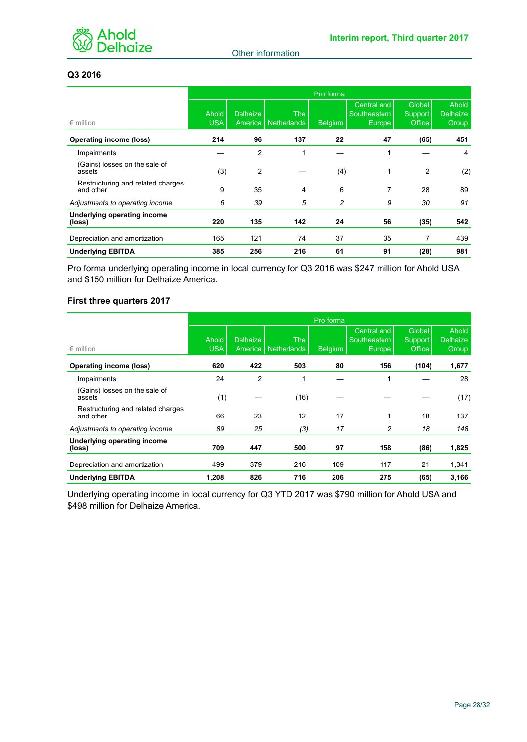

# **Q3 2016**

|                                                | Pro forma           |                            |                           |                |                                                    |                             |                                   |  |
|------------------------------------------------|---------------------|----------------------------|---------------------------|----------------|----------------------------------------------------|-----------------------------|-----------------------------------|--|
| $\epsilon$ million                             | Ahold<br><b>USA</b> | <b>Delhaize</b><br>America | <b>The</b><br>Netherlands | <b>Belgium</b> | Central and<br>Southeastern<br>Europe <sup>1</sup> | Global<br>Support<br>Office | Ahold<br><b>Delhaize</b><br>Group |  |
| <b>Operating income (loss)</b>                 | 214                 | 96                         | 137                       | 22             | 47                                                 | (65)                        | 451                               |  |
| Impairments                                    |                     | $\overline{2}$             | 4                         |                | 1                                                  |                             | 4                                 |  |
| (Gains) losses on the sale of<br>assets        | (3)                 | $\overline{2}$             |                           | (4)            | 1                                                  | $\overline{2}$              | (2)                               |  |
| Restructuring and related charges<br>and other | 9                   | 35                         | 4                         | 6              | 7                                                  | 28                          | 89                                |  |
| Adjustments to operating income                | 6                   | 39                         | 5                         | 2              | 9                                                  | 30                          | 91                                |  |
| Underlying operating income<br>(loss)          | 220                 | 135                        | 142                       | 24             | 56                                                 | (35)                        | 542                               |  |
| Depreciation and amortization                  | 165                 | 121                        | 74                        | 37             | 35                                                 | 7                           | 439                               |  |
| <b>Underlying EBITDA</b>                       | 385                 | 256                        | 216                       | 61             | 91                                                 | (28)                        | 981                               |  |

Pro forma underlying operating income in local currency for Q3 2016 was \$247 million for Ahold USA and \$150 million for Delhaize America.

# **First three quarters 2017**

|                                                | Pro forma           |                            |                           |                |                                              |                             |                                   |  |
|------------------------------------------------|---------------------|----------------------------|---------------------------|----------------|----------------------------------------------|-----------------------------|-----------------------------------|--|
| $\epsilon$ million                             | Ahold<br><b>USA</b> | <b>Delhaize</b><br>America | <b>The</b><br>Netherlands | <b>Belgium</b> | <b>Central and</b><br>Southeastern<br>Europe | Global<br>Support<br>Office | Ahold<br><b>Delhaize</b><br>Group |  |
| <b>Operating income (loss)</b>                 | 620                 | 422                        | 503                       | 80             | 156                                          | (104)                       | 1,677                             |  |
| Impairments                                    | 24                  | $\overline{2}$             | 1                         |                | 1                                            |                             | 28                                |  |
| (Gains) losses on the sale of<br>assets        | (1)                 |                            | (16)                      |                |                                              |                             | (17)                              |  |
| Restructuring and related charges<br>and other | 66                  | 23                         | 12                        | 17             | 1                                            | 18                          | 137                               |  |
| Adjustments to operating income                | 89                  | 25                         | (3)                       | 17             | 2                                            | 18                          | 148                               |  |
| Underlying operating income<br>(loss)          | 709                 | 447                        | 500                       | 97             | 158                                          | (86)                        | 1,825                             |  |
| Depreciation and amortization                  | 499                 | 379                        | 216                       | 109            | 117                                          | 21                          | 1,341                             |  |
| <b>Underlying EBITDA</b>                       | 1,208               | 826                        | 716                       | 206            | 275                                          | (65)                        | 3,166                             |  |

Underlying operating income in local currency for Q3 YTD 2017 was \$790 million for Ahold USA and \$498 million for Delhaize America.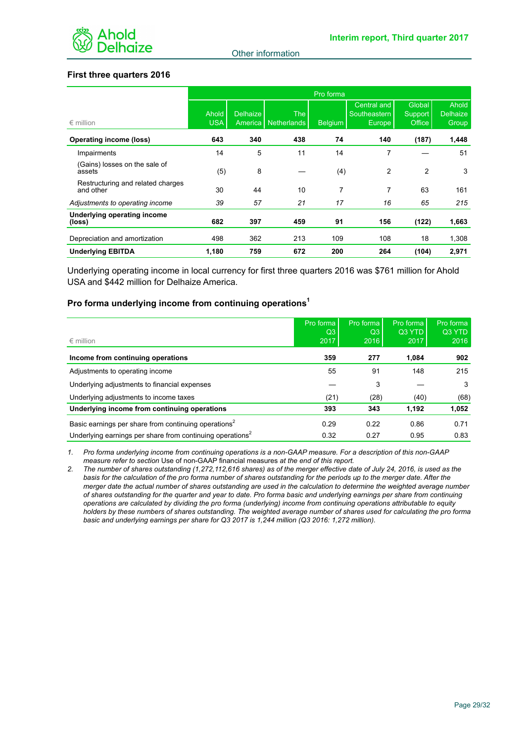

# **First three quarters 2016**

|                                                | Pro forma           |                 |                                     |                |                                       |                             |                                   |  |
|------------------------------------------------|---------------------|-----------------|-------------------------------------|----------------|---------------------------------------|-----------------------------|-----------------------------------|--|
| $\epsilon$ million                             | Ahold<br><b>USA</b> | <b>Delhaize</b> | <b>The</b><br>America   Netherlands | <b>Belgium</b> | Central and<br>Southeastern<br>Europe | Global<br>Support<br>Office | Ahold<br><b>Delhaize</b><br>Group |  |
| <b>Operating income (loss)</b>                 | 643                 | 340             | 438                                 | 74             | 140                                   | (187)                       | 1,448                             |  |
| Impairments                                    | 14                  | 5               | 11                                  | 14             | 7                                     |                             | 51                                |  |
| (Gains) losses on the sale of<br>assets        | (5)                 | 8               |                                     | (4)            | $\overline{2}$                        | $\overline{2}$              | 3                                 |  |
| Restructuring and related charges<br>and other | 30                  | 44              | 10                                  | 7              | 7                                     | 63                          | 161                               |  |
| Adjustments to operating income                | 39                  | 57              | 21                                  | 17             | 16                                    | 65                          | 215                               |  |
| Underlying operating income<br>(loss)          | 682                 | 397             | 459                                 | 91             | 156                                   | (122)                       | 1,663                             |  |
| Depreciation and amortization                  | 498                 | 362             | 213                                 | 109            | 108                                   | 18                          | 1,308                             |  |
| <b>Underlying EBITDA</b>                       | 1,180               | 759             | 672                                 | 200            | 264                                   | (104)                       | 2,971                             |  |

Underlying operating income in local currency for first three quarters 2016 was \$761 million for Ahold USA and \$442 million for Delhaize America.

#### **Pro forma underlying income from continuing operations<sup>1</sup>**

|                                                                       | Pro forma | Pro forma | Pro forma | Pro forma |
|-----------------------------------------------------------------------|-----------|-----------|-----------|-----------|
|                                                                       | Q3        | Q3        | Q3 YTD    | Q3 YTD    |
| $\epsilon$ million                                                    | 2017      | 2016      | 2017      | 2016      |
| Income from continuing operations                                     | 359       | 277       | 1.084     | 902       |
| Adjustments to operating income                                       | 55        | 91        | 148       | 215       |
| Underlying adjustments to financial expenses                          |           | 3         |           | 3         |
| Underlying adjustments to income taxes                                | (21)      | (28)      | (40)      | (68)      |
| Underlying income from continuing operations                          | 393       | 343       | 1,192     | 1,052     |
| Basic earnings per share from continuing operations <sup>2</sup>      | 0.29      | 0.22      | 0.86      | 0.71      |
| Underlying earnings per share from continuing operations <sup>2</sup> | 0.32      | 0.27      | 0.95      | 0.83      |

*1. Pro forma underlying income from continuing operations is a non-GAAP measure. For a description of this non-GAAP measure refer to section* Use of non-GAAP financial measures *at the end of this report.*

*2. The number of shares outstanding (1,272,112,616 shares) as of the merger effective date of July 24, 2016, is used as the basis for the calculation of the pro forma number of shares outstanding for the periods up to the merger date. After the merger date the actual number of shares outstanding are used in the calculation to determine the weighted average number of shares outstanding for the quarter and year to date. Pro forma basic and underlying earnings per share from continuing operations are calculated by dividing the pro forma (underlying) income from continuing operations attributable to equity holders by these numbers of shares outstanding. The weighted average number of shares used for calculating the pro forma basic and underlying earnings per share for Q3 2017 is 1,244 million (Q3 2016: 1,272 million).*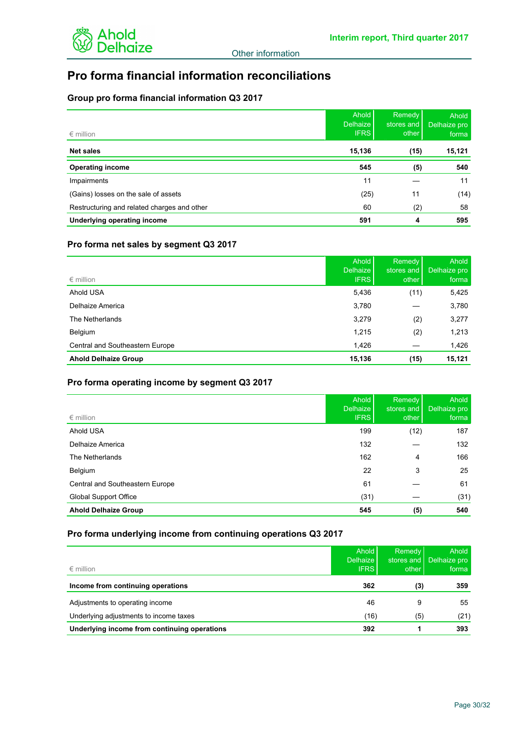

# **Pro forma financial information reconciliations**

# **Group pro forma financial information Q3 2017**

| $\epsilon$ million                          | Ahold<br><b>Delhaize</b><br><b>IFRS</b> | <b>Remedy</b><br>stores and<br>other | Ahold  <br>Delhaize pro<br>forma |
|---------------------------------------------|-----------------------------------------|--------------------------------------|----------------------------------|
| <b>Net sales</b>                            | 15,136                                  | (15)                                 | 15,121                           |
| <b>Operating income</b>                     | 545                                     | (5)                                  | 540                              |
| Impairments                                 | 11                                      |                                      | 11                               |
| (Gains) losses on the sale of assets        | (25)                                    | 11                                   | (14)                             |
| Restructuring and related charges and other | 60                                      | (2)                                  | 58                               |
| Underlying operating income                 | 591                                     | 4                                    | 595                              |

# **Pro forma net sales by segment Q3 2017**

| $\epsilon$ million              | Ahold<br><b>Delhaize</b><br><b>IFRS</b> | Remedy<br>stores and<br>other | Ahold<br>Delhaize pro<br>forma |
|---------------------------------|-----------------------------------------|-------------------------------|--------------------------------|
| Ahold USA                       | 5,436                                   | (11)                          | 5,425                          |
| Delhaize America                | 3,780                                   |                               | 3,780                          |
| The Netherlands                 | 3,279                                   | (2)                           | 3,277                          |
| Belgium                         | 1,215                                   | (2)                           | 1,213                          |
| Central and Southeastern Europe | 1,426                                   |                               | 1,426                          |
| <b>Ahold Delhaize Group</b>     | 15,136                                  | (15)                          | 15,121                         |

# **Pro forma operating income by segment Q3 2017**

|                                 | Ahold I<br>Delhaize | <b>Remedy</b><br>stores and | Ahold<br>Delhaize pro |
|---------------------------------|---------------------|-----------------------------|-----------------------|
| $\epsilon$ million              | <b>IFRS</b>         | other                       | forma                 |
| Ahold USA                       | 199                 | (12)                        | 187                   |
| Delhaize America                | 132                 |                             | 132                   |
| The Netherlands                 | 162                 | 4                           | 166                   |
| Belgium                         | 22                  | 3                           | 25                    |
| Central and Southeastern Europe | 61                  |                             | 61                    |
| <b>Global Support Office</b>    | (31)                |                             | (31)                  |
| <b>Ahold Delhaize Group</b>     | 545                 | (5)                         | 540                   |

# **Pro forma underlying income from continuing operations Q3 2017**

| $\epsilon$ million                           | Ahold<br><b>Delhaize</b><br><b>IFRS</b> | Remedy<br>stores and<br>other | Ahold<br>Delhaize pro<br>forma |
|----------------------------------------------|-----------------------------------------|-------------------------------|--------------------------------|
| Income from continuing operations            | 362                                     | (3)                           | 359                            |
| Adjustments to operating income              | 46                                      | 9                             | 55                             |
| Underlying adjustments to income taxes       | (16)                                    | (5)                           | (21)                           |
| Underlying income from continuing operations | 392                                     |                               | 393                            |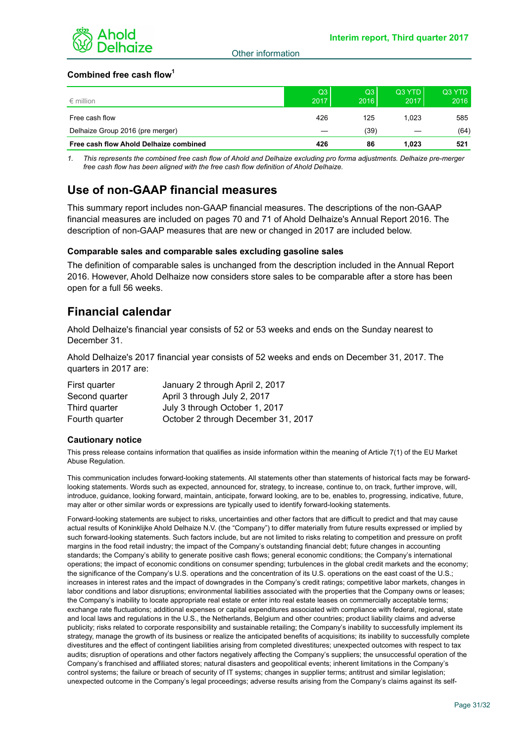

# **Combined free cash flow<sup>1</sup>**

| $\epsilon$ million                     | Q3<br>2017 | Q3<br>2016 | Q3 YTD<br>2017 | Q3 YTD<br>2016 |
|----------------------------------------|------------|------------|----------------|----------------|
| Free cash flow                         | 426        | 125        | 1.023          | 585            |
| Delhaize Group 2016 (pre merger)       |            | (39)       |                | (64)           |
| Free cash flow Ahold Delhaize combined | 426        | 86         | 1.023          | 521            |

*1. This represents the combined free cash flow of Ahold and Delhaize excluding pro forma adjustments. Delhaize pre-merger free cash flow has been aligned with the free cash flow definition of Ahold Delhaize.*

# **Use of non-GAAP financial measures**

This summary report includes non-GAAP financial measures. The descriptions of the non-GAAP financial measures are included on pages 70 and 71 of Ahold Delhaize's Annual Report 2016. The description of non-GAAP measures that are new or changed in 2017 are included below.

#### **Comparable sales and comparable sales excluding gasoline sales**

The definition of comparable sales is unchanged from the description included in the Annual Report 2016. However, Ahold Delhaize now considers store sales to be comparable after a store has been open for a full 56 weeks.

# **Financial calendar**

Ahold Delhaize's financial year consists of 52 or 53 weeks and ends on the Sunday nearest to December 31.

Ahold Delhaize's 2017 financial year consists of 52 weeks and ends on December 31, 2017. The quarters in 2017 are:

| First quarter  | January 2 through April 2, 2017     |
|----------------|-------------------------------------|
| Second quarter | April 3 through July 2, 2017        |
| Third quarter  | July 3 through October 1, 2017      |
| Fourth quarter | October 2 through December 31, 2017 |

# **Cautionary notice**

This press release contains information that qualifies as inside information within the meaning of Article 7(1) of the EU Market Abuse Regulation.

This communication includes forward-looking statements. All statements other than statements of historical facts may be forwardlooking statements. Words such as expected, announced for, strategy, to increase, continue to, on track, further improve, will, introduce, guidance, looking forward, maintain, anticipate, forward looking, are to be, enables to, progressing, indicative, future, may alter or other similar words or expressions are typically used to identify forward-looking statements.

Forward-looking statements are subject to risks, uncertainties and other factors that are difficult to predict and that may cause actual results of Koninklijke Ahold Delhaize N.V. (the "Company") to differ materially from future results expressed or implied by such forward-looking statements. Such factors include, but are not limited to risks relating to competition and pressure on profit margins in the food retail industry; the impact of the Company's outstanding financial debt; future changes in accounting standards; the Company's ability to generate positive cash flows; general economic conditions; the Company's international operations; the impact of economic conditions on consumer spending; turbulences in the global credit markets and the economy; the significance of the Company's U.S. operations and the concentration of its U.S. operations on the east coast of the U.S.; increases in interest rates and the impact of downgrades in the Company's credit ratings; competitive labor markets, changes in labor conditions and labor disruptions; environmental liabilities associated with the properties that the Company owns or leases; the Company's inability to locate appropriate real estate or enter into real estate leases on commercially acceptable terms; exchange rate fluctuations; additional expenses or capital expenditures associated with compliance with federal, regional, state and local laws and regulations in the U.S., the Netherlands, Belgium and other countries; product liability claims and adverse publicity; risks related to corporate responsibility and sustainable retailing; the Company's inability to successfully implement its strategy, manage the growth of its business or realize the anticipated benefits of acquisitions; its inability to successfully complete divestitures and the effect of contingent liabilities arising from completed divestitures; unexpected outcomes with respect to tax audits; disruption of operations and other factors negatively affecting the Company's suppliers; the unsuccessful operation of the Company's franchised and affiliated stores; natural disasters and geopolitical events; inherent limitations in the Company's control systems; the failure or breach of security of IT systems; changes in supplier terms; antitrust and similar legislation; unexpected outcome in the Company's legal proceedings; adverse results arising from the Company's claims against its self-